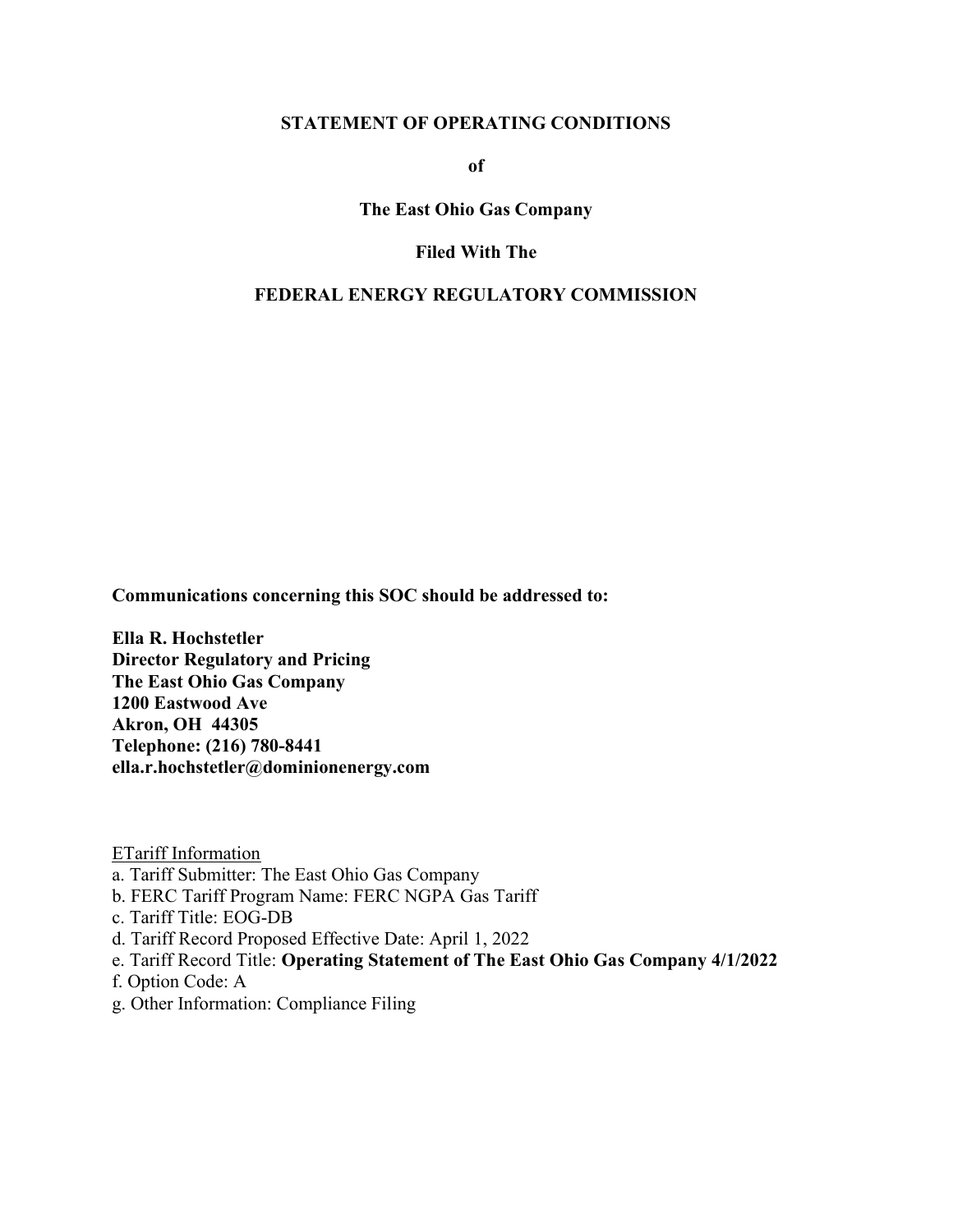#### STATEMENT OF OPERATING CONDITIONS

of

The East Ohio Gas Company

#### Filed With The

#### FEDERAL ENERGY REGULATORY COMMISSION

Communications concerning this SOC should be addressed to:

 Ella R. Hochstetler Director Regulatory and Pricing The East Ohio Gas Company 1200 Eastwood Ave Akron, OH 44305 Telephone: (216) 780-8441 ella.r.hochstetler@dominionenergy.com

ETariff Information

- a. Tariff Submitter: The East Ohio Gas Company
- b. FERC Tariff Program Name: FERC NGPA Gas Tariff
- c. Tariff Title: EOG-DB
- d. Tariff Record Proposed Effective Date: April 1, 2022
- e. Tariff Record Title: Operating Statement of The East Ohio Gas Company 4/1/2022
- f. Option Code: A
- g. Other Information: Compliance Filing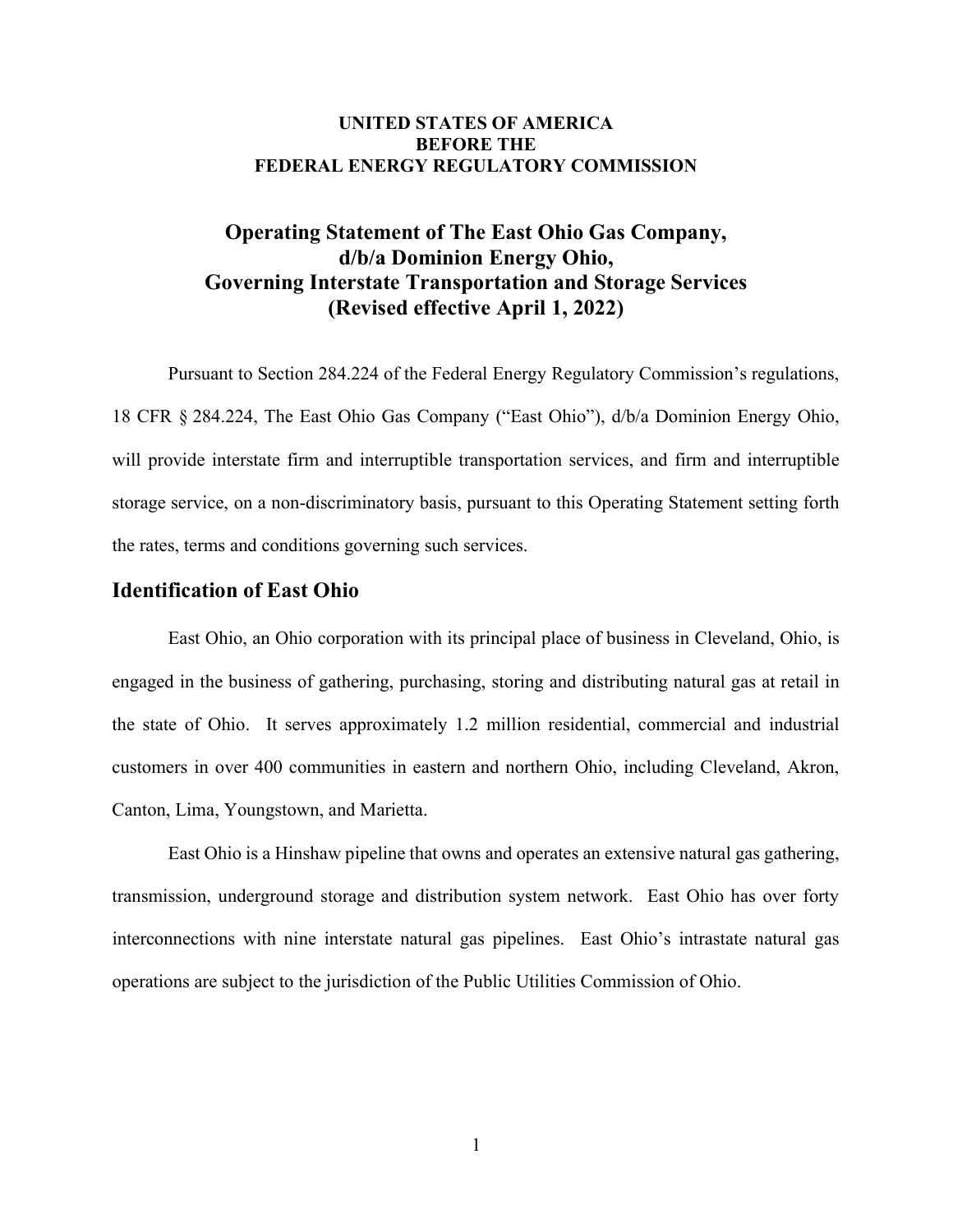### UNITED STATES OF AMERICA BEFORE THE FEDERAL ENERGY REGULATORY COMMISSION

# Operating Statement of The East Ohio Gas Company, d/b/a Dominion Energy Ohio, Governing Interstate Transportation and Storage Services (Revised effective April 1, 2022)

 Pursuant to Section 284.224 of the Federal Energy Regulatory Commission's regulations, 18 CFR § 284.224, The East Ohio Gas Company ("East Ohio"), d/b/a Dominion Energy Ohio, will provide interstate firm and interruptible transportation services, and firm and interruptible storage service, on a non-discriminatory basis, pursuant to this Operating Statement setting forth the rates, terms and conditions governing such services.

### Identification of East Ohio

 engaged in the business of gathering, purchasing, storing and distributing natural gas at retail in the state of Ohio. It serves approximately 1.2 million residential, commercial and industrial customers in over 400 communities in eastern and northern Ohio, including Cleveland, Akron, Canton, Lima, Youngstown, and Marietta. East Ohio, an Ohio corporation with its principal place of business in Cleveland, Ohio, is

 transmission, underground storage and distribution system network. East Ohio has over forty interconnections with nine interstate natural gas pipelines. East Ohio's intrastate natural gas operations are subject to the jurisdiction of the Public Utilities Commission of Ohio. East Ohio is a Hinshaw pipeline that owns and operates an extensive natural gas gathering,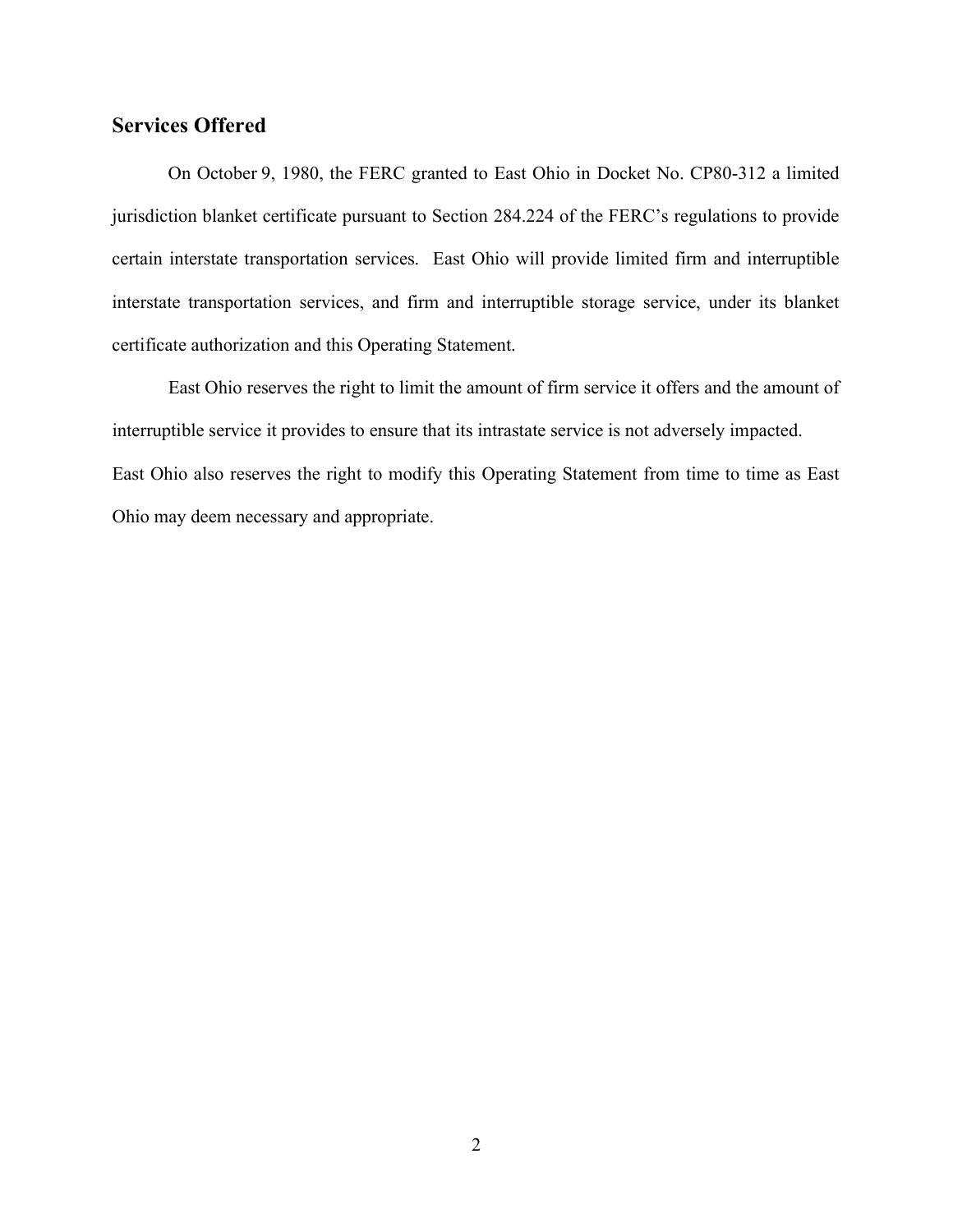# Services Offered

 jurisdiction blanket certificate pursuant to Section 284.224 of the FERC's regulations to provide certain interstate transportation services. East Ohio will provide limited firm and interruptible interstate transportation services, and firm and interruptible storage service, under its blanket certificate authorization and this Operating Statement. On October 9, 1980, the FERC granted to East Ohio in Docket No. CP80-312 a limited

 interruptible service it provides to ensure that its intrastate service is not adversely impacted. East Ohio also reserves the right to modify this Operating Statement from time to time as East Ohio may deem necessary and appropriate. East Ohio reserves the right to limit the amount of firm service it offers and the amount of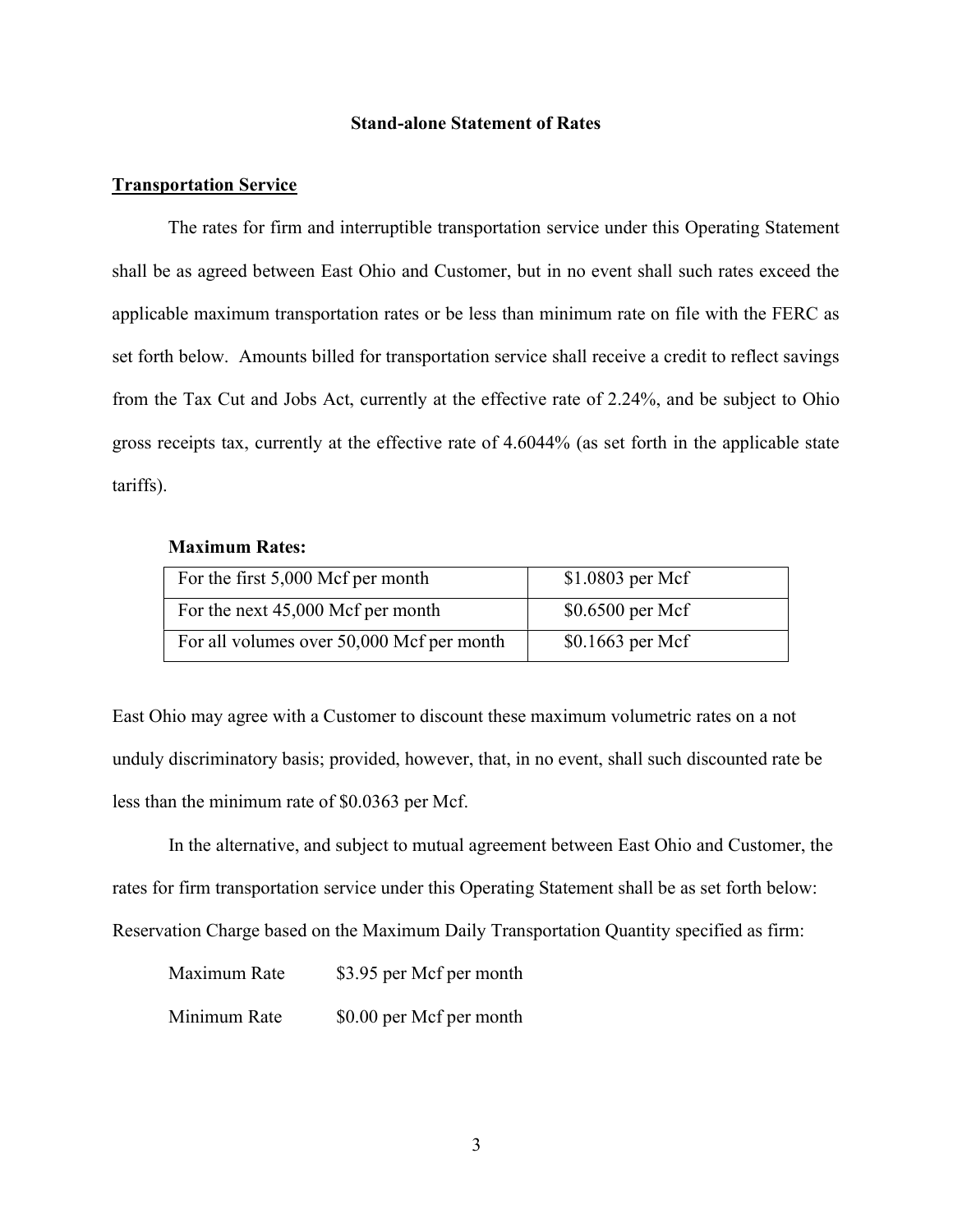#### Stand-alone Statement of Rates

#### Transportation Service

 shall be as agreed between East Ohio and Customer, but in no event shall such rates exceed the applicable maximum transportation rates or be less than minimum rate on file with the FERC as set forth below. Amounts billed for transportation service shall receive a credit to reflect savings from the Tax Cut and Jobs Act, currently at the effective rate of 2.24%, and be subject to Ohio gross receipts tax, currently at the effective rate of 4.6044% (as set forth in the applicable state The rates for firm and interruptible transportation service under this Operating Statement tariffs).

#### Maximum Rates:

| For the first 5,000 Mcf per month         | $$1.0803$ per Mcf |
|-------------------------------------------|-------------------|
| For the next 45,000 Mcf per month         | $$0.6500$ per Mcf |
| For all volumes over 50,000 Mcf per month | $$0.1663$ per Mcf |

 East Ohio may agree with a Customer to discount these maximum volumetric rates on a not unduly discriminatory basis; provided, however, that, in no event, shall such discounted rate be less than the minimum rate of \$0.0363 per Mcf.

 rates for firm transportation service under this Operating Statement shall be as set forth below: Reservation Charge based on the Maximum Daily Transportation Quantity specified as firm: In the alternative, and subject to mutual agreement between East Ohio and Customer, the

| Maximum Rate | \$3.95 per Mcf per month |
|--------------|--------------------------|
| Minimum Rate | \$0.00 per Mcf per month |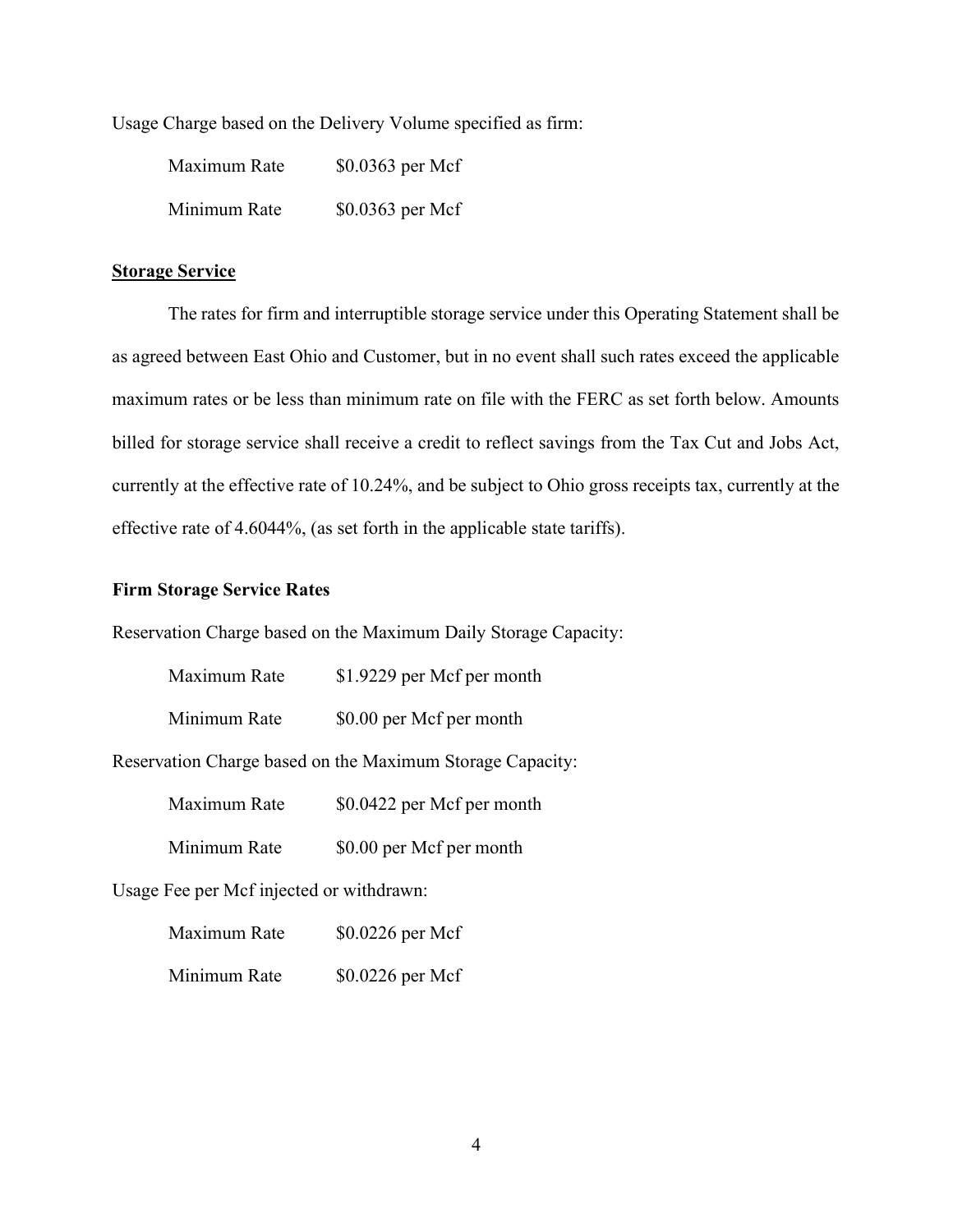Usage Charge based on the Delivery Volume specified as firm:

| Maximum Rate | $$0.0363$ per Mcf |
|--------------|-------------------|
| Minimum Rate | $$0.0363$ per Mcf |

#### Storage Service

 as agreed between East Ohio and Customer, but in no event shall such rates exceed the applicable maximum rates or be less than minimum rate on file with the FERC as set forth below. Amounts billed for storage service shall receive a credit to reflect savings from the Tax Cut and Jobs Act, currently at the effective rate of 10.24%, and be subject to Ohio gross receipts tax, currently at the effective rate of 4.6044%, (as set forth in the applicable state tariffs). The rates for firm and interruptible storage service under this Operating Statement shall be

### Firm Storage Service Rates

Reservation Charge based on the Maximum Daily Storage Capacity:

| Maximum Rate | \$1.9229 per Mcf per month |
|--------------|----------------------------|
| Minimum Rate | \$0.00 per Mcf per month   |

Reservation Charge based on the Maximum Storage Capacity:

| Maximum Rate | \$0.0422 per Mcf per month |
|--------------|----------------------------|
|--------------|----------------------------|

Minimum Rate \$0.00 per Mcf per month

Usage Fee per Mcf injected or withdrawn:

| Maximum Rate | \$0.0226 per Mcf |
|--------------|------------------|
|--------------|------------------|

Minimum Rate \$0.0226 per Mcf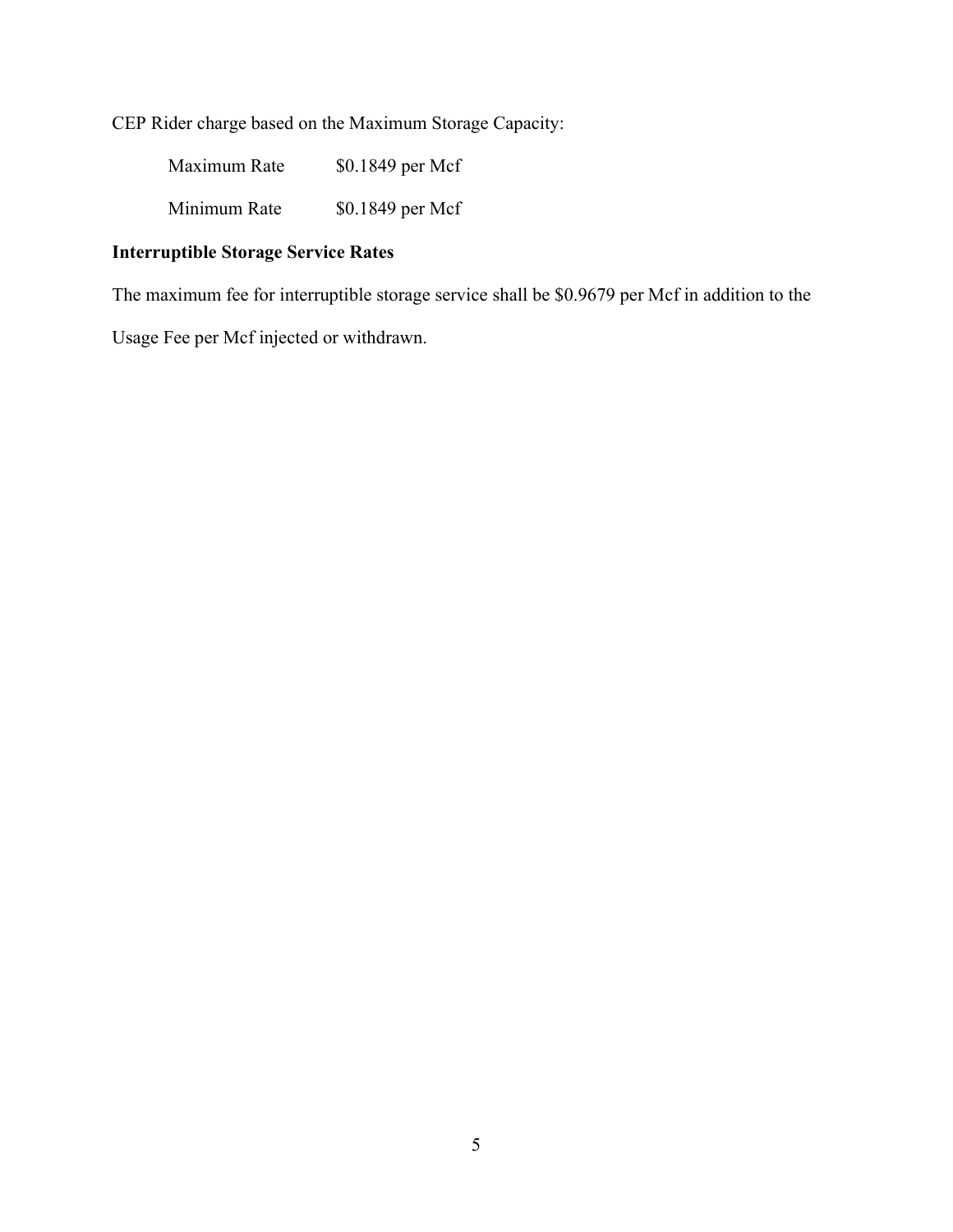CEP Rider charge based on the Maximum Storage Capacity:

| Maximum Rate | \$0.1849 per Mcf |
|--------------|------------------|
| Minimum Rate | \$0.1849 per Mcf |

### Interruptible Storage Service Rates

The maximum fee for interruptible storage service shall be \$0.9679 per Mcf in addition to the

Usage Fee per Mcf injected or withdrawn.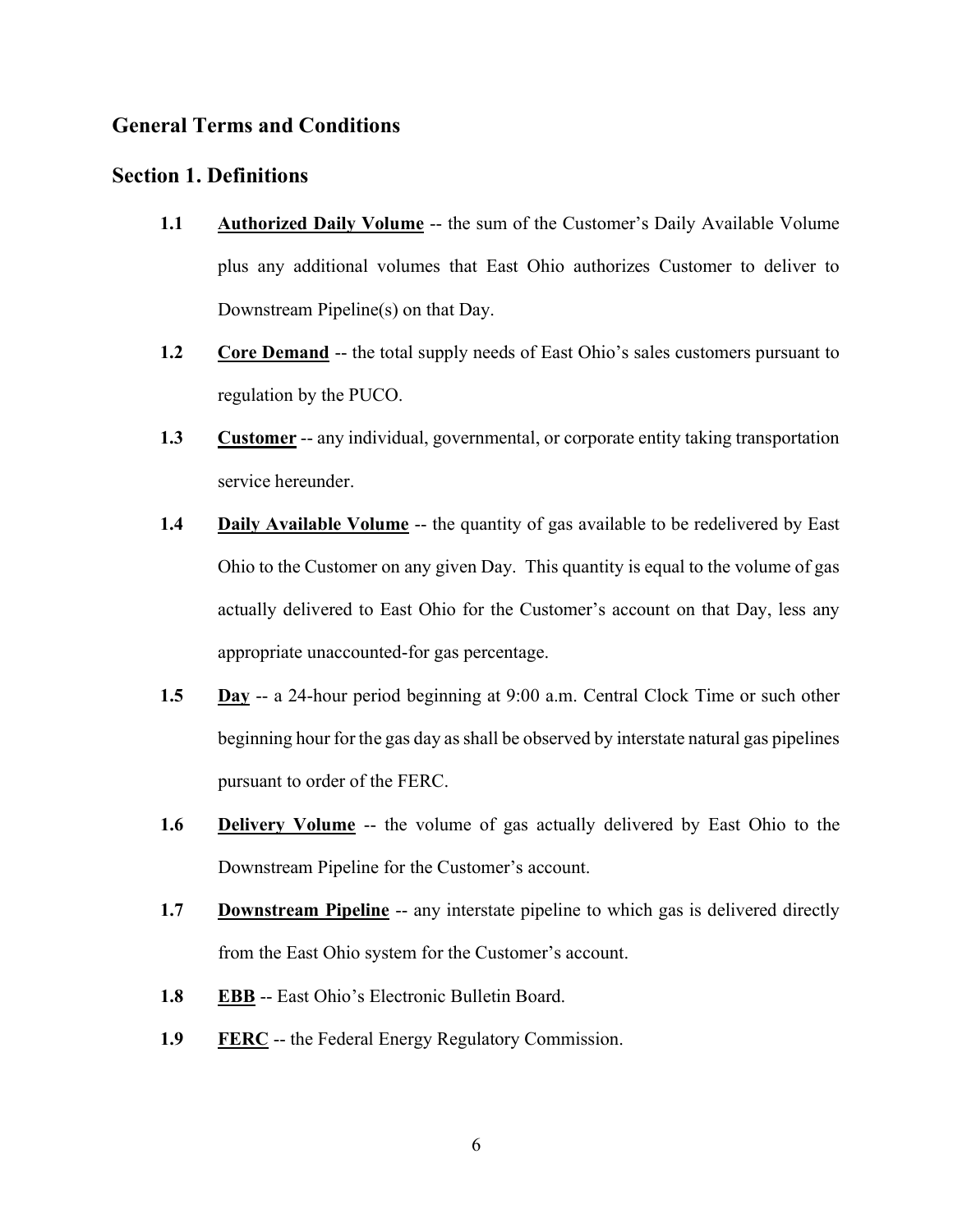### General Terms and Conditions

### Section 1. Definitions

- 1.1 Authorized Daily Volume -- the sum of the Customer's Daily Available Volume plus any additional volumes that East Ohio authorizes Customer to deliver to Downstream Pipeline(s) on that Day.
- $1.2$  regulation by the PUCO. **Core Demand --** the total supply needs of East Ohio's sales customers pursuant to
- 1.3 Customer -- any individual, governmental, or corporate entity taking transportation service hereunder.
- $1.4$  Ohio to the Customer on any given Day. This quantity is equal to the volume of gas actually delivered to East Ohio for the Customer's account on that Day, less any appropriate unaccounted-for gas percentage. Daily Available Volume -- the quantity of gas available to be redelivered by East
- 1.5 Day -- a 24-hour period beginning at 9:00 a.m. Central Clock Time or such other beginning hour for the gas day as shall be observed by interstate natural gas pipelines pursuant to order of the FERC.
- 1.6 **Delivery Volume** -- the volume of gas actually delivered by East Ohio to the Downstream Pipeline for the Customer's account.
- 1.7 **Downstream Pipeline** -- any interstate pipeline to which gas is delivered directly from the East Ohio system for the Customer's account.
- 1.8 EBB -- East Ohio's Electronic Bulletin Board.
- 1.9 FERC -- the Federal Energy Regulatory Commission.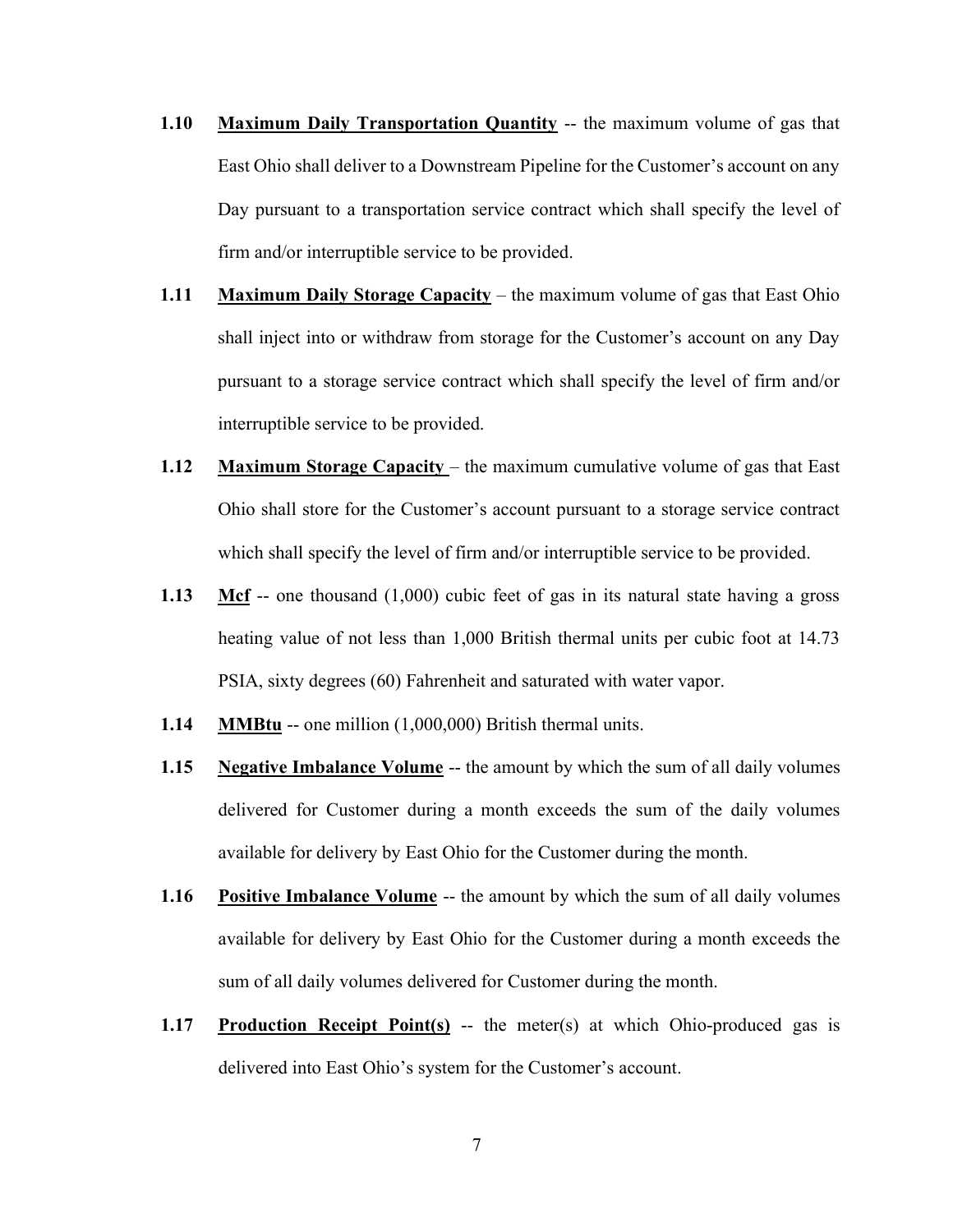- 1.10 Maximum Daily Transportation Quantity -- the maximum volume of gas that East Ohio shall deliver to a Downstream Pipeline for the Customer's account on any Day pursuant to a transportation service contract which shall specify the level of firm and/or interruptible service to be provided.
- 1.11 Maximum Daily Storage Capacity the maximum volume of gas that East Ohio shall inject into or withdraw from storage for the Customer's account on any Day pursuant to a storage service contract which shall specify the level of firm and/or interruptible service to be provided.
- 1.12 Maximum Storage Capacity the maximum cumulative volume of gas that East Ohio shall store for the Customer's account pursuant to a storage service contract which shall specify the level of firm and/or interruptible service to be provided.
- 1.13 Mcf -- one thousand  $(1,000)$  cubic feet of gas in its natural state having a gross heating value of not less than 1,000 British thermal units per cubic foot at 14.73 PSIA, sixty degrees (60) Fahrenheit and saturated with water vapor.
- 1.14 MMBtu -- one million (1,000,000) British thermal units.
- 1.15 delivered for Customer during a month exceeds the sum of the daily volumes available for delivery by East Ohio for the Customer during the month. Negative Imbalance Volume -- the amount by which the sum of all daily volumes
- 1.16 available for delivery by East Ohio for the Customer during a month exceeds the sum of all daily volumes delivered for Customer during the month. **Positive Imbalance Volume -- the amount by which the sum of all daily volumes**
- 1.17 Production Receipt Point(s) -- the meter(s) at which Ohio-produced gas is delivered into East Ohio's system for the Customer's account.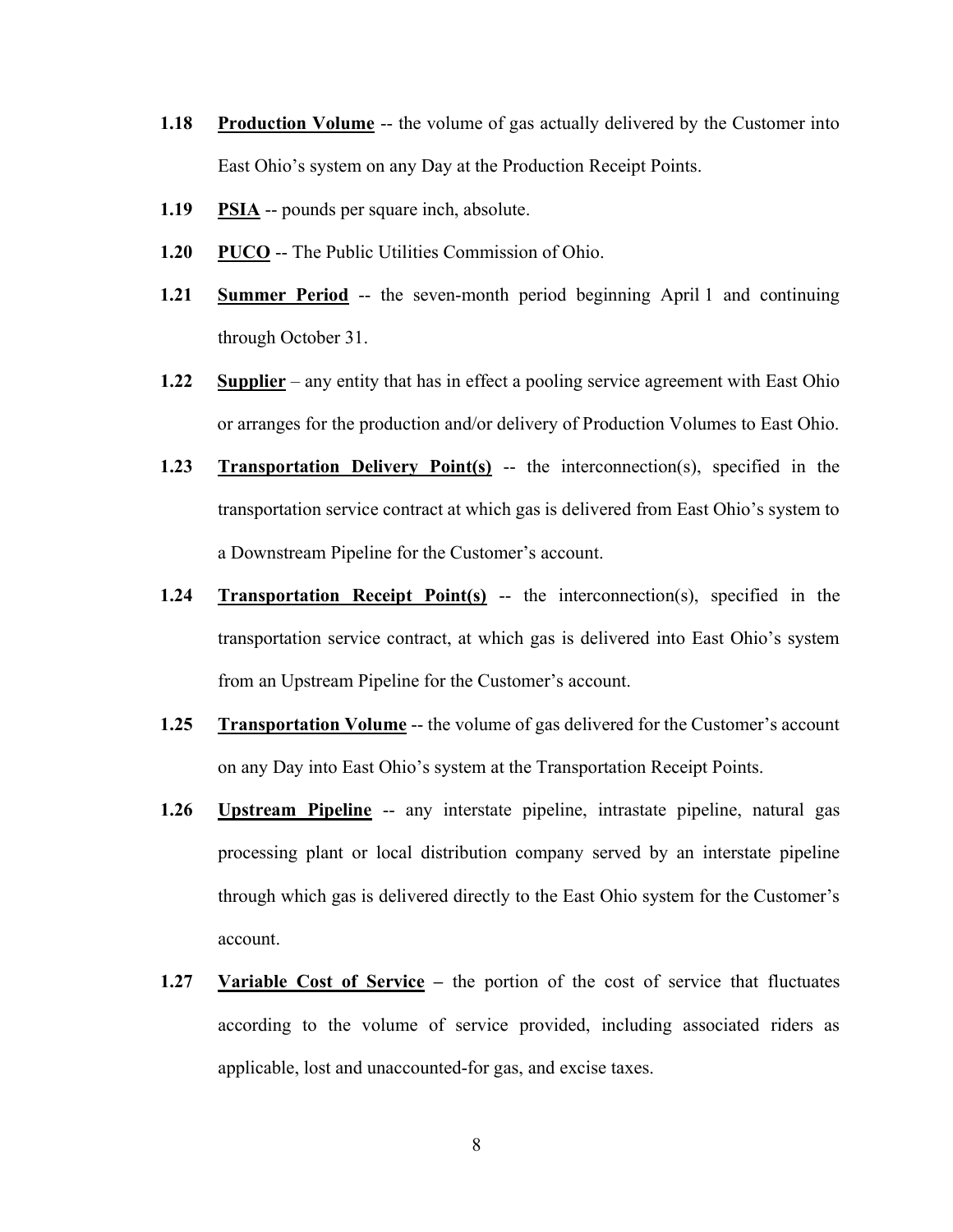- 1.18 Production Volume -- the volume of gas actually delivered by the Customer into East Ohio's system on any Day at the Production Receipt Points.
- 1.19 PSIA -- pounds per square inch, absolute.
- 1.20 PUCO -- The Public Utilities Commission of Ohio.
- $1.21$  through October 31. Summer Period -- the seven-month period beginning April 1 and continuing
- 1.22 Supplier any entity that has in effect a pooling service agreement with East Ohio or arranges for the production and/or delivery of Production Volumes to East Ohio.
- 1.23 Transportation Delivery Point(s) -- the interconnection(s), specified in the transportation service contract at which gas is delivered from East Ohio's system to a Downstream Pipeline for the Customer's account.
- 1.24 Transportation Receipt Point(s) -- the interconnection(s), specified in the transportation service contract, at which gas is delivered into East Ohio's system from an Upstream Pipeline for the Customer's account.
- 1.25 Transportation Volume -- the volume of gas delivered for the Customer's account on any Day into East Ohio's system at the Transportation Receipt Points.
- 1.26 Upstream Pipeline -- any interstate pipeline, intrastate pipeline, natural gas processing plant or local distribution company served by an interstate pipeline through which gas is delivered directly to the East Ohio system for the Customer's account.
- $1.27$  according to the volume of service provided, including associated riders as applicable, lost and unaccounted-for gas, and excise taxes. Variable Cost of Service – the portion of the cost of service that fluctuates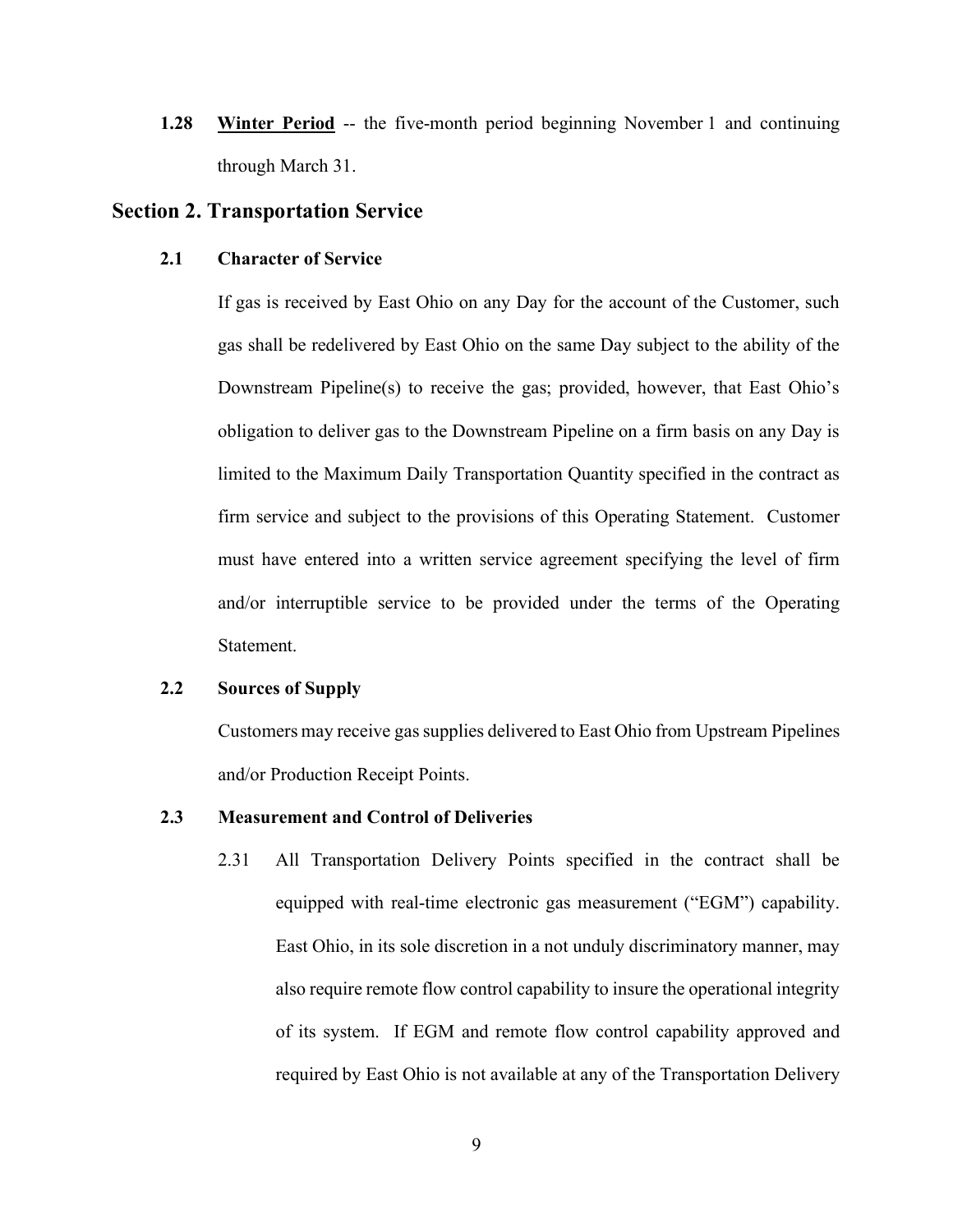1.28 through March 31. **Winter Period** -- the five-month period beginning November 1 and continuing

### Section 2. Transportation Service

#### 2.1 Character of Service

 If gas is received by East Ohio on any Day for the account of the Customer, such gas shall be redelivered by East Ohio on the same Day subject to the ability of the Downstream Pipeline(s) to receive the gas; provided, however, that East Ohio's obligation to deliver gas to the Downstream Pipeline on a firm basis on any Day is limited to the Maximum Daily Transportation Quantity specified in the contract as firm service and subject to the provisions of this Operating Statement. Customer must have entered into a written service agreement specifying the level of firm and/or interruptible service to be provided under the terms of the Operating Statement.

#### $2.2$ Sources of Supply

Customers may receive gas supplies delivered to East Ohio from Upstream Pipelines and/or Production Receipt Points.

### 2.3 Measurement and Control of Deliveries

2.31 equipped with real-time electronic gas measurement ("EGM") capability. East Ohio, in its sole discretion in a not unduly discriminatory manner, may also require remote flow control capability to insure the operational integrity of its system. If EGM and remote flow control capability approved and required by East Ohio is not available at any of the Transportation Delivery All Transportation Delivery Points specified in the contract shall be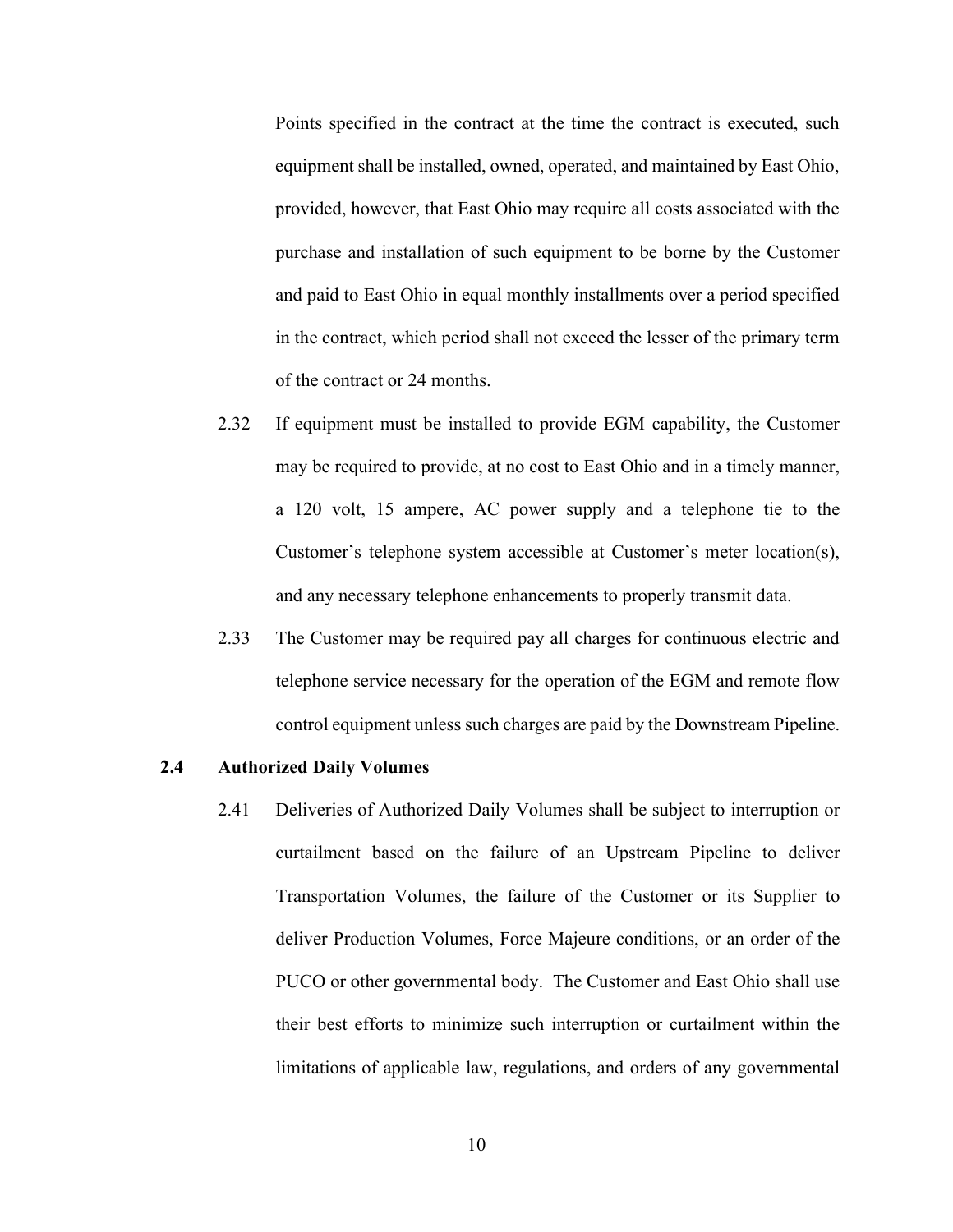Points specified in the contract at the time the contract is executed, such equipment shall be installed, owned, operated, and maintained by East Ohio, provided, however, that East Ohio may require all costs associated with the purchase and installation of such equipment to be borne by the Customer and paid to East Ohio in equal monthly installments over a period specified in the contract, which period shall not exceed the lesser of the primary term of the contract or 24 months.

- $2.32.$  may be required to provide, at no cost to East Ohio and in a timely manner, a 120 volt, 15 ampere, AC power supply and a telephone tie to the Customer's telephone system accessible at Customer's meter location(s), and any necessary telephone enhancements to properly transmit data. If equipment must be installed to provide EGM capability, the Customer
- 2.33 telephone service necessary for the operation of the EGM and remote flow control equipment unless such charges are paid by the Downstream Pipeline. The Customer may be required pay all charges for continuous electric and

#### 2.4 Authorized Daily Volumes

 2.41 Deliveries of Authorized Daily Volumes shall be subject to interruption or curtailment based on the failure of an Upstream Pipeline to deliver Transportation Volumes, the failure of the Customer or its Supplier to deliver Production Volumes, Force Majeure conditions, or an order of the PUCO or other governmental body. The Customer and East Ohio shall use their best efforts to minimize such interruption or curtailment within the limitations of applicable law, regulations, and orders of any governmental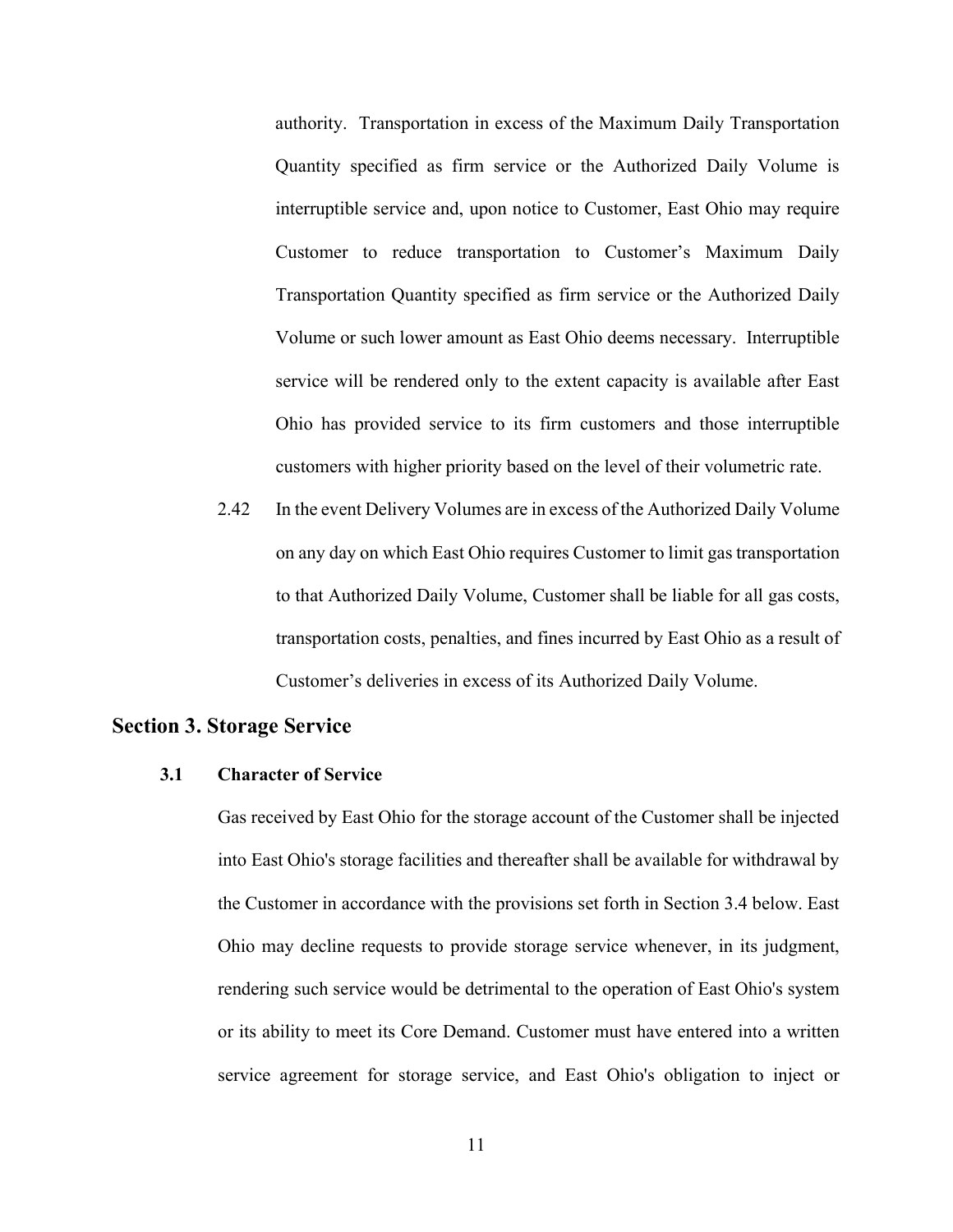authority. Transportation in excess of the Maximum Daily Transportation Quantity specified as firm service or the Authorized Daily Volume is interruptible service and, upon notice to Customer, East Ohio may require Customer to reduce transportation to Customer's Maximum Daily Transportation Quantity specified as firm service or the Authorized Daily Volume or such lower amount as East Ohio deems necessary. Interruptible service will be rendered only to the extent capacity is available after East Ohio has provided service to its firm customers and those interruptible customers with higher priority based on the level of their volumetric rate.

2.42 on any day on which East Ohio requires Customer to limit gas transportation to that Authorized Daily Volume, Customer shall be liable for all gas costs, transportation costs, penalties, and fines incurred by East Ohio as a result of Customer's deliveries in excess of its Authorized Daily Volume. In the event Delivery Volumes are in excess of the Authorized Daily Volume

### Section 3. Storage Service

#### 3.1 Character of Service

 Gas received by East Ohio for the storage account of the Customer shall be injected into East Ohio's storage facilities and thereafter shall be available for withdrawal by the Customer in accordance with the provisions set forth in Section 3.4 below. East Ohio may decline requests to provide storage service whenever, in its judgment, rendering such service would be detrimental to the operation of East Ohio's system or its ability to meet its Core Demand. Customer must have entered into a written service agreement for storage service, and East Ohio's obligation to inject or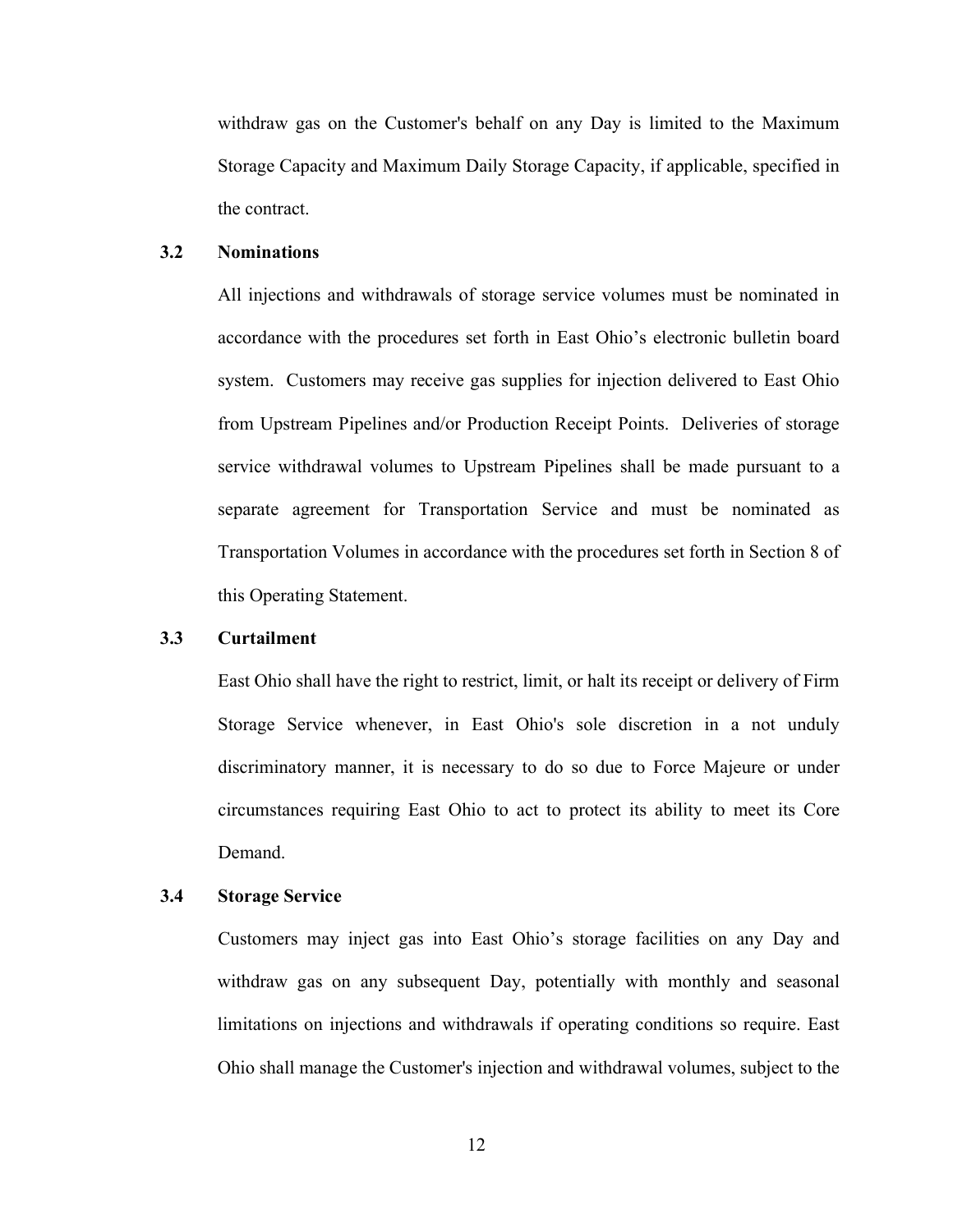withdraw gas on the Customer's behalf on any Day is limited to the Maximum Storage Capacity and Maximum Daily Storage Capacity, if applicable, specified in the contract.

#### 3.2 Nominations

 All injections and withdrawals of storage service volumes must be nominated in accordance with the procedures set forth in East Ohio's electronic bulletin board system. Customers may receive gas supplies for injection delivered to East Ohio from Upstream Pipelines and/or Production Receipt Points. Deliveries of storage service withdrawal volumes to Upstream Pipelines shall be made pursuant to a separate agreement for Transportation Service and must be nominated as Transportation Volumes in accordance with the procedures set forth in Section 8 of this Operating Statement.

#### 3.3 Curtailment

 East Ohio shall have the right to restrict, limit, or halt its receipt or delivery of Firm Storage Service whenever, in East Ohio's sole discretion in a not unduly discriminatory manner, it is necessary to do so due to Force Majeure or under circumstances requiring East Ohio to act to protect its ability to meet its Core Demand.

#### $3.4$ **Storage Service**

 Customers may inject gas into East Ohio's storage facilities on any Day and withdraw gas on any subsequent Day, potentially with monthly and seasonal limitations on injections and withdrawals if operating conditions so require. East Ohio shall manage the Customer's injection and withdrawal volumes, subject to the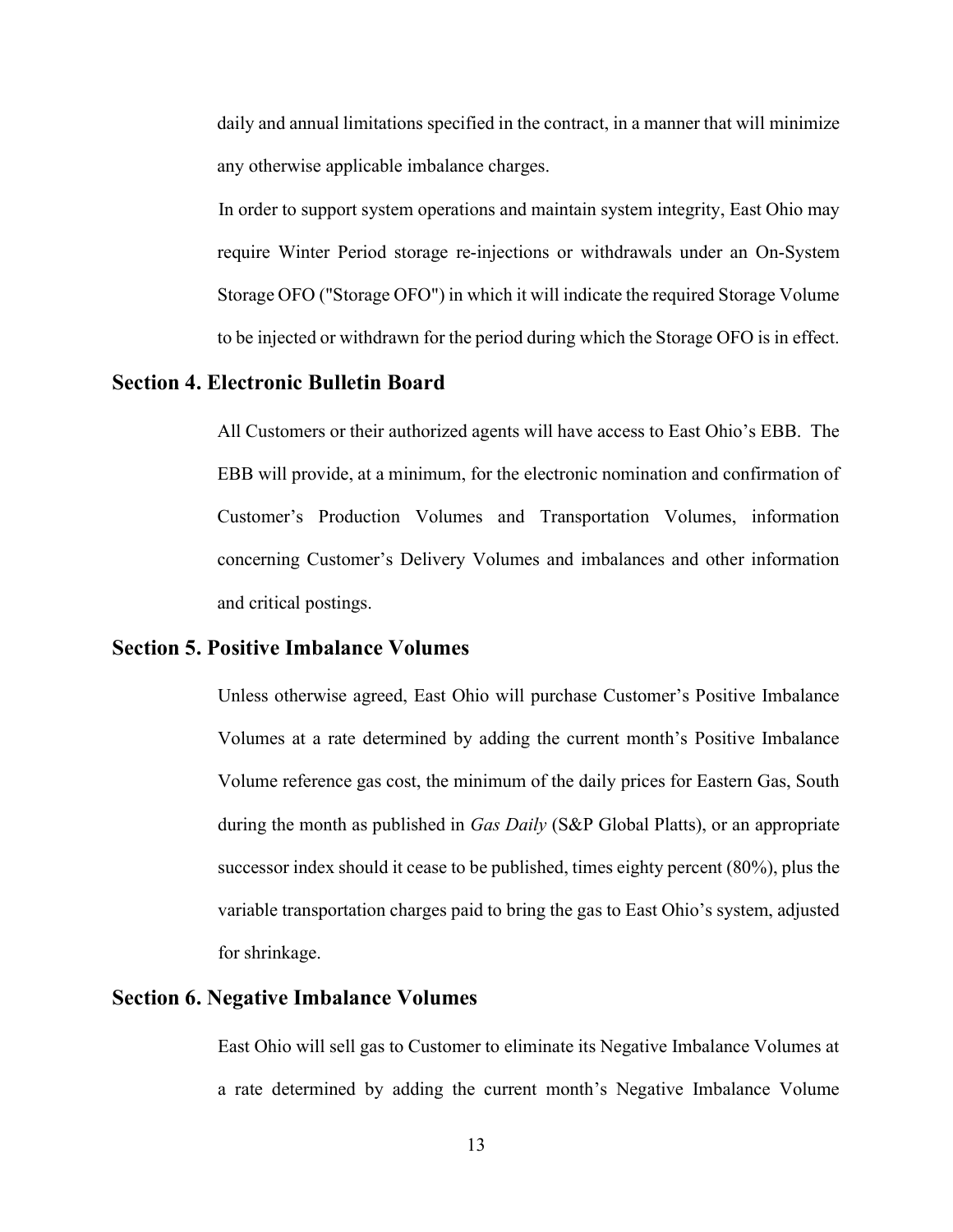daily and annual limitations specified in the contract, in a manner that will minimize any otherwise applicable imbalance charges.

 In order to support system operations and maintain system integrity, East Ohio may require Winter Period storage re-injections or withdrawals under an On-System Storage OFO ("Storage OFO") in which it will indicate the required Storage Volume to be injected or withdrawn for the period during which the Storage OFO is in effect.

### Section 4. Electronic Bulletin Board

 All Customers or their authorized agents will have access to East Ohio's EBB. The EBB will provide, at a minimum, for the electronic nomination and confirmation of Customer's Production Volumes and Transportation Volumes, information concerning Customer's Delivery Volumes and imbalances and other information and critical postings.

### Section 5. Positive Imbalance Volumes

 Unless otherwise agreed, East Ohio will purchase Customer's Positive Imbalance Volumes at a rate determined by adding the current month's Positive Imbalance Volume reference gas cost, the minimum of the daily prices for Eastern Gas, South during the month as published in Gas Daily (S&P Global Platts), or an appropriate successor index should it cease to be published, times eighty percent (80%), plus the variable transportation charges paid to bring the gas to East Ohio's system, adjusted for shrinkage.

### Section 6. Negative Imbalance Volumes

 East Ohio will sell gas to Customer to eliminate its Negative Imbalance Volumes at a rate determined by adding the current month's Negative Imbalance Volume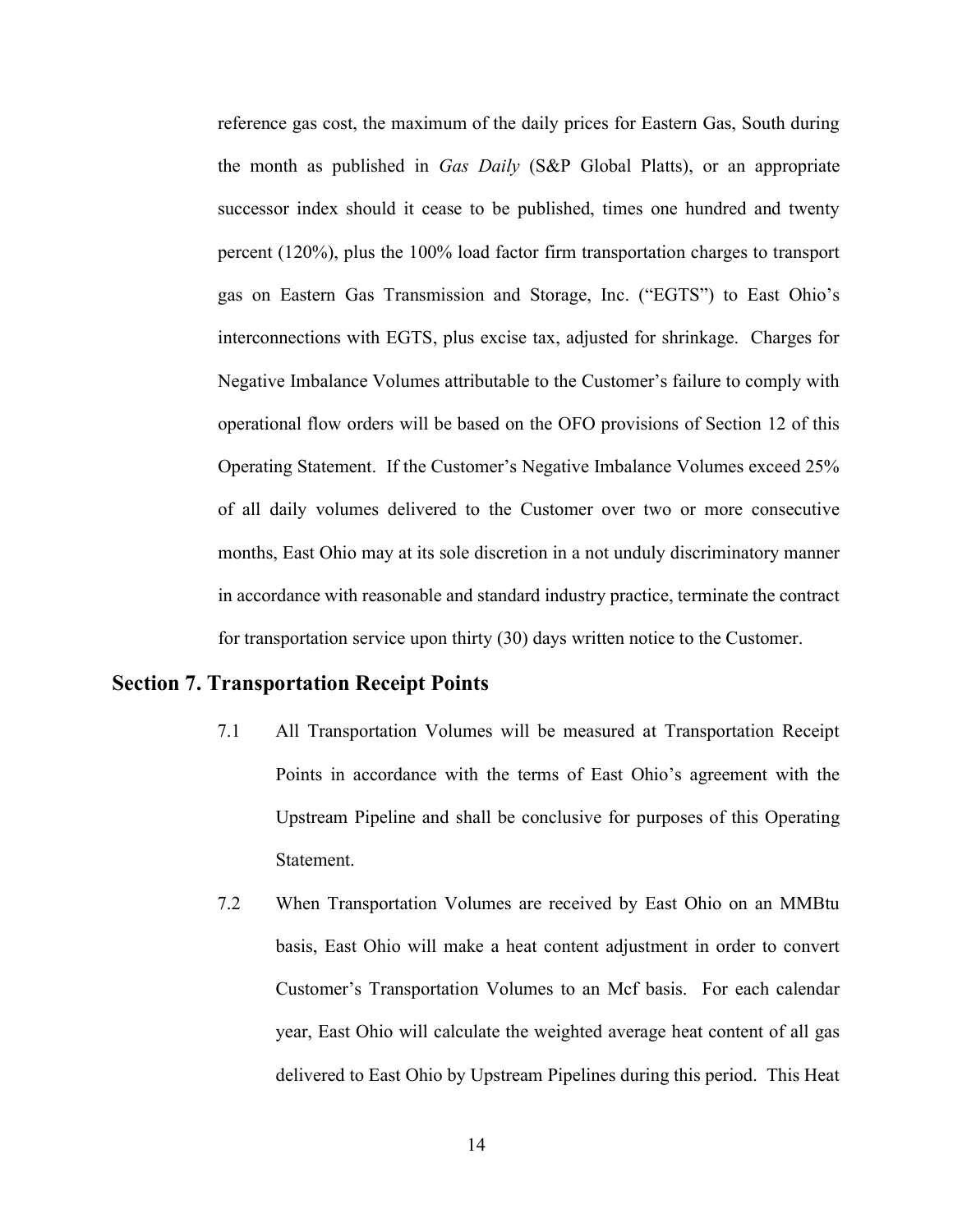reference gas cost, the maximum of the daily prices for Eastern Gas, South during the month as published in Gas Daily (S&P Global Platts), or an appropriate successor index should it cease to be published, times one hundred and twenty percent (120%), plus the 100% load factor firm transportation charges to transport gas on Eastern Gas Transmission and Storage, Inc. ("EGTS") to East Ohio's interconnections with EGTS, plus excise tax, adjusted for shrinkage. Charges for Negative Imbalance Volumes attributable to the Customer's failure to comply with operational flow orders will be based on the OFO provisions of Section 12 of this Operating Statement. If the Customer's Negative Imbalance Volumes exceed 25% of all daily volumes delivered to the Customer over two or more consecutive months, East Ohio may at its sole discretion in a not unduly discriminatory manner in accordance with reasonable and standard industry practice, terminate the contract for transportation service upon thirty (30) days written notice to the Customer.

## Section 7. Transportation Receipt Points

- $7.1$  Points in accordance with the terms of East Ohio's agreement with the Upstream Pipeline and shall be conclusive for purposes of this Operating All Transportation Volumes will be measured at Transportation Receipt Statement.
- $7.2$  basis, East Ohio will make a heat content adjustment in order to convert Customer's Transportation Volumes to an Mcf basis. For each calendar year, East Ohio will calculate the weighted average heat content of all gas delivered to East Ohio by Upstream Pipelines during this period. This Heat When Transportation Volumes are received by East Ohio on an MMBtu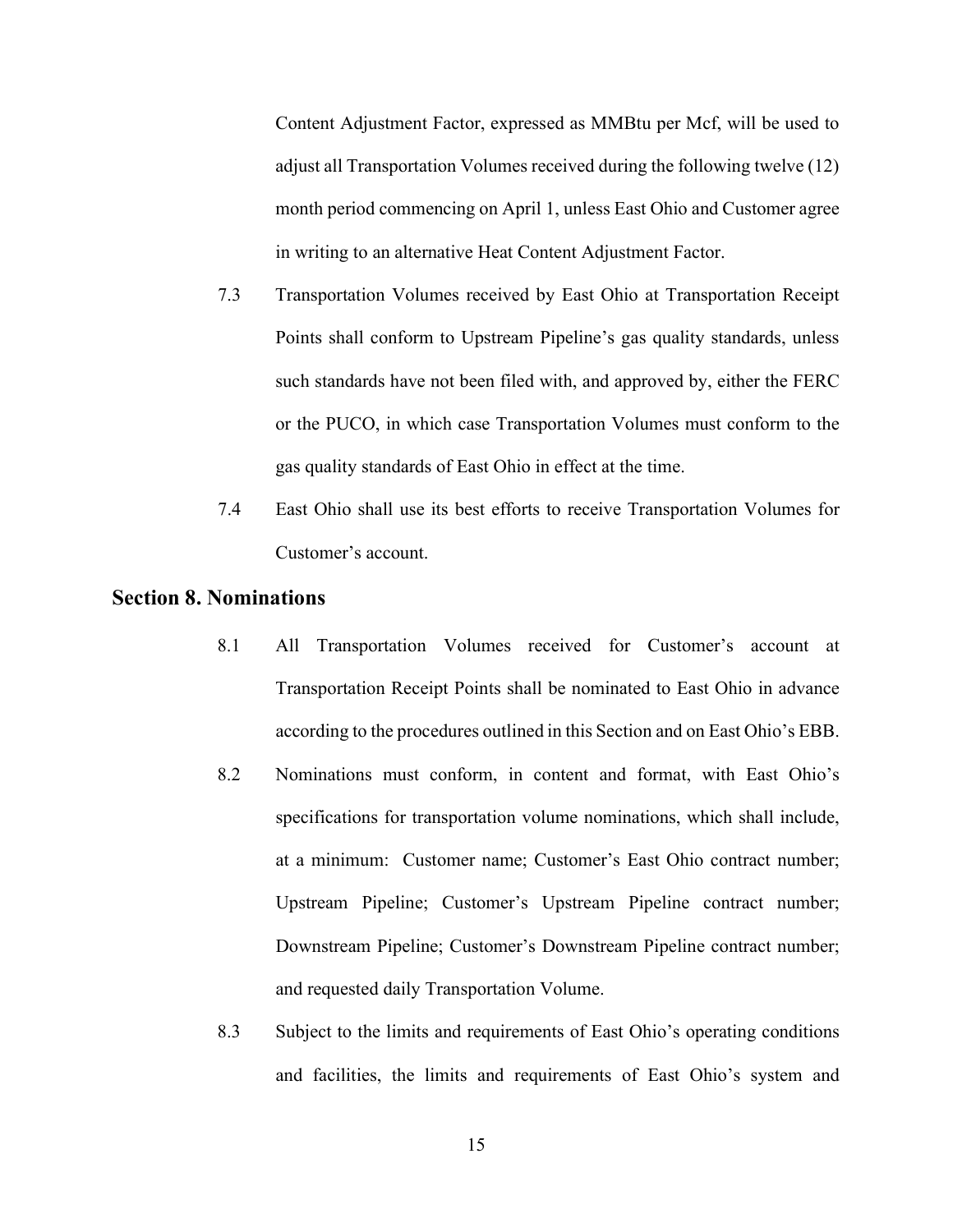Content Adjustment Factor, expressed as MMBtu per Mcf, will be used to adjust all Transportation Volumes received during the following twelve (12) month period commencing on April 1, unless East Ohio and Customer agree in writing to an alternative Heat Content Adjustment Factor.

- 7.3 Transportation Volumes received by East Ohio at Transportation Receipt Points shall conform to Upstream Pipeline's gas quality standards, unless such standards have not been filed with, and approved by, either the FERC or the PUCO, in which case Transportation Volumes must conform to the gas quality standards of East Ohio in effect at the time.
- $7.4$  Customer's account. East Ohio shall use its best efforts to receive Transportation Volumes for

### Section 8. Nominations

- 8.1 Transportation Receipt Points shall be nominated to East Ohio in advance according to the procedures outlined in this Section and on East Ohio's EBB. All Transportation Volumes received for Customer's account at
- 8.2 Nominations must conform, in content and format, with East Ohio's specifications for transportation volume nominations, which shall include, at a minimum: Customer name; Customer's East Ohio contract number; Upstream Pipeline; Customer's Upstream Pipeline contract number; Downstream Pipeline; Customer's Downstream Pipeline contract number; and requested daily Transportation Volume.
- 8.3 and facilities, the limits and requirements of East Ohio's system and Subject to the limits and requirements of East Ohio's operating conditions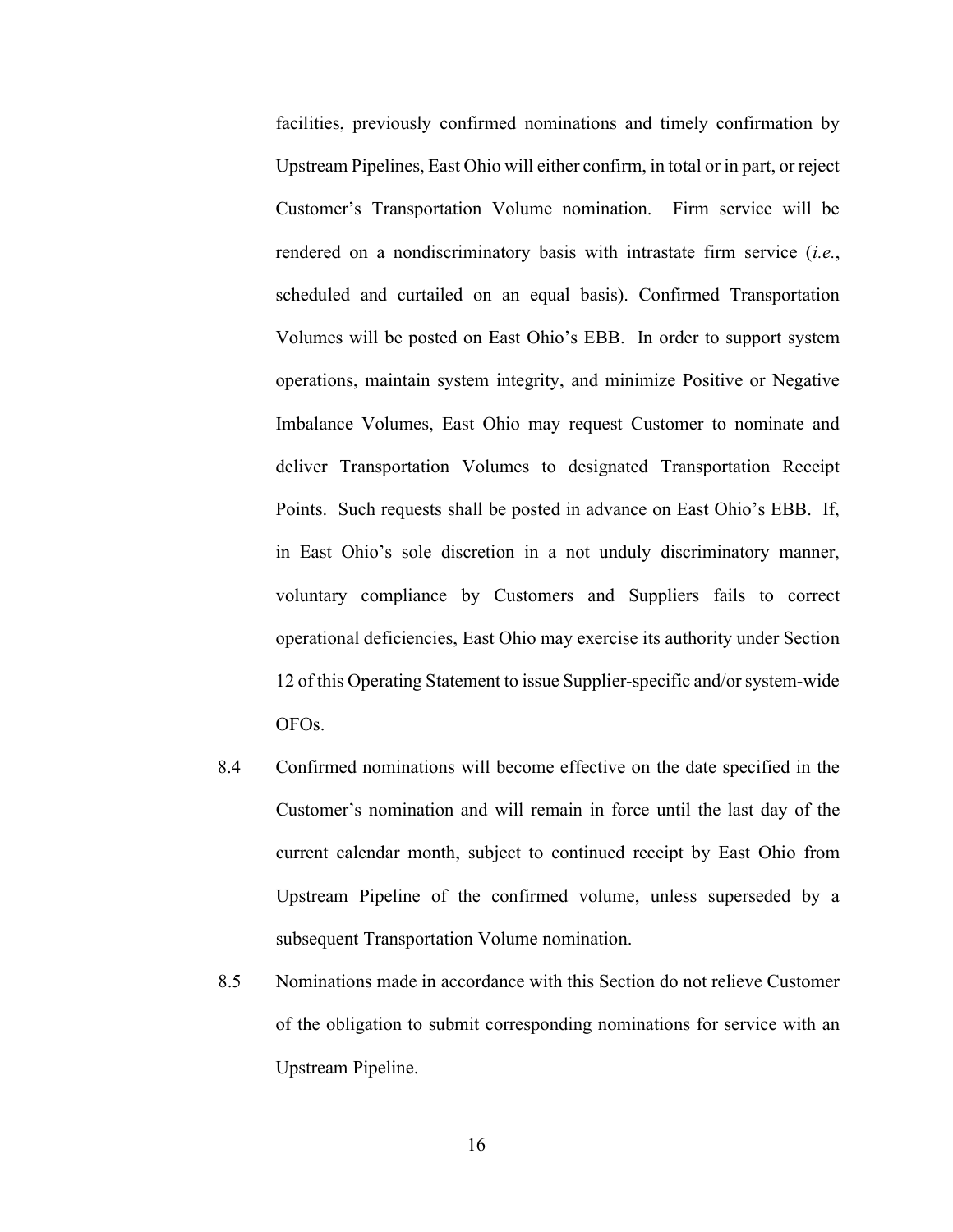facilities, previously confirmed nominations and timely confirmation by Upstream Pipelines, East Ohio will either confirm, in total or in part, or reject Customer's Transportation Volume nomination. Firm service will be rendered on a nondiscriminatory basis with intrastate firm service (i.e., scheduled and curtailed on an equal basis). Confirmed Transportation Volumes will be posted on East Ohio's EBB. In order to support system operations, maintain system integrity, and minimize Positive or Negative Imbalance Volumes, East Ohio may request Customer to nominate and deliver Transportation Volumes to designated Transportation Receipt Points. Such requests shall be posted in advance on East Ohio's EBB. If, in East Ohio's sole discretion in a not unduly discriminatory manner, voluntary compliance by Customers and Suppliers fails to correct operational deficiencies, East Ohio may exercise its authority under Section 12 of this Operating Statement to issue Supplier-specific and/or system-wide OFOs.

- 8.4 Confirmed nominations will become effective on the date specified in the Customer's nomination and will remain in force until the last day of the current calendar month, subject to continued receipt by East Ohio from Upstream Pipeline of the confirmed volume, unless superseded by a subsequent Transportation Volume nomination.
- 8.5 Nominations made in accordance with this Section do not relieve Customer of the obligation to submit corresponding nominations for service with an Upstream Pipeline.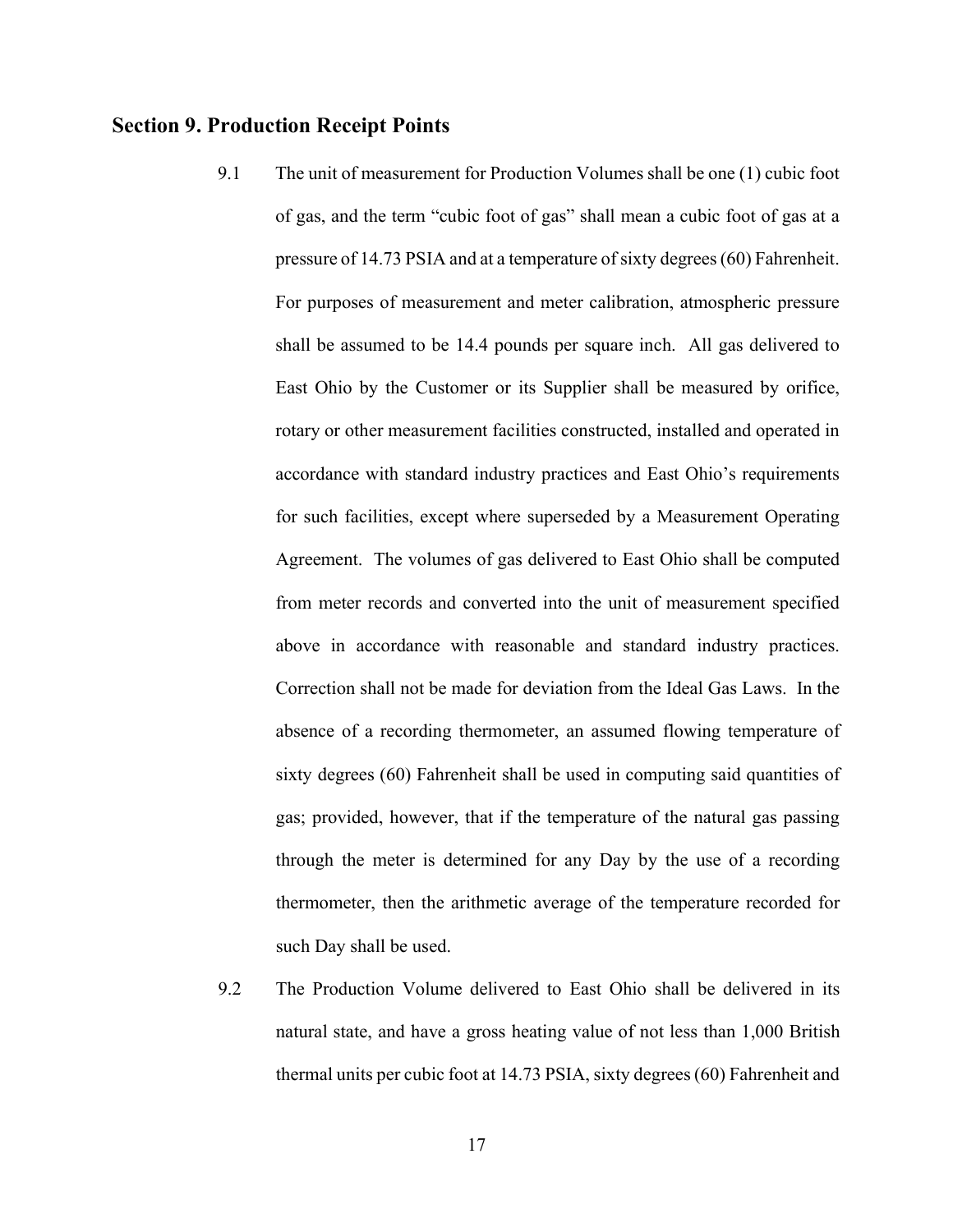### Section 9. Production Receipt Points

- 9.1 of gas, and the term "cubic foot of gas" shall mean a cubic foot of gas at a pressure of 14.73 PSIA and at a temperature of sixty degrees (60) Fahrenheit. For purposes of measurement and meter calibration, atmospheric pressure shall be assumed to be 14.4 pounds per square inch. All gas delivered to East Ohio by the Customer or its Supplier shall be measured by orifice, rotary or other measurement facilities constructed, installed and operated in accordance with standard industry practices and East Ohio's requirements for such facilities, except where superseded by a Measurement Operating Agreement. The volumes of gas delivered to East Ohio shall be computed from meter records and converted into the unit of measurement specified above in accordance with reasonable and standard industry practices. Correction shall not be made for deviation from the Ideal Gas Laws. In the absence of a recording thermometer, an assumed flowing temperature of sixty degrees (60) Fahrenheit shall be used in computing said quantities of gas; provided, however, that if the temperature of the natural gas passing through the meter is determined for any Day by the use of a recording thermometer, then the arithmetic average of the temperature recorded for such Day shall be used. The unit of measurement for Production Volumes shall be one (1) cubic foot
- 9.2 natural state, and have a gross heating value of not less than 1,000 British thermal units per cubic foot at 14.73 PSIA, sixty degrees(60) Fahrenheit and 9.2 The Production Volume delivered to East Ohio shall be delivered in its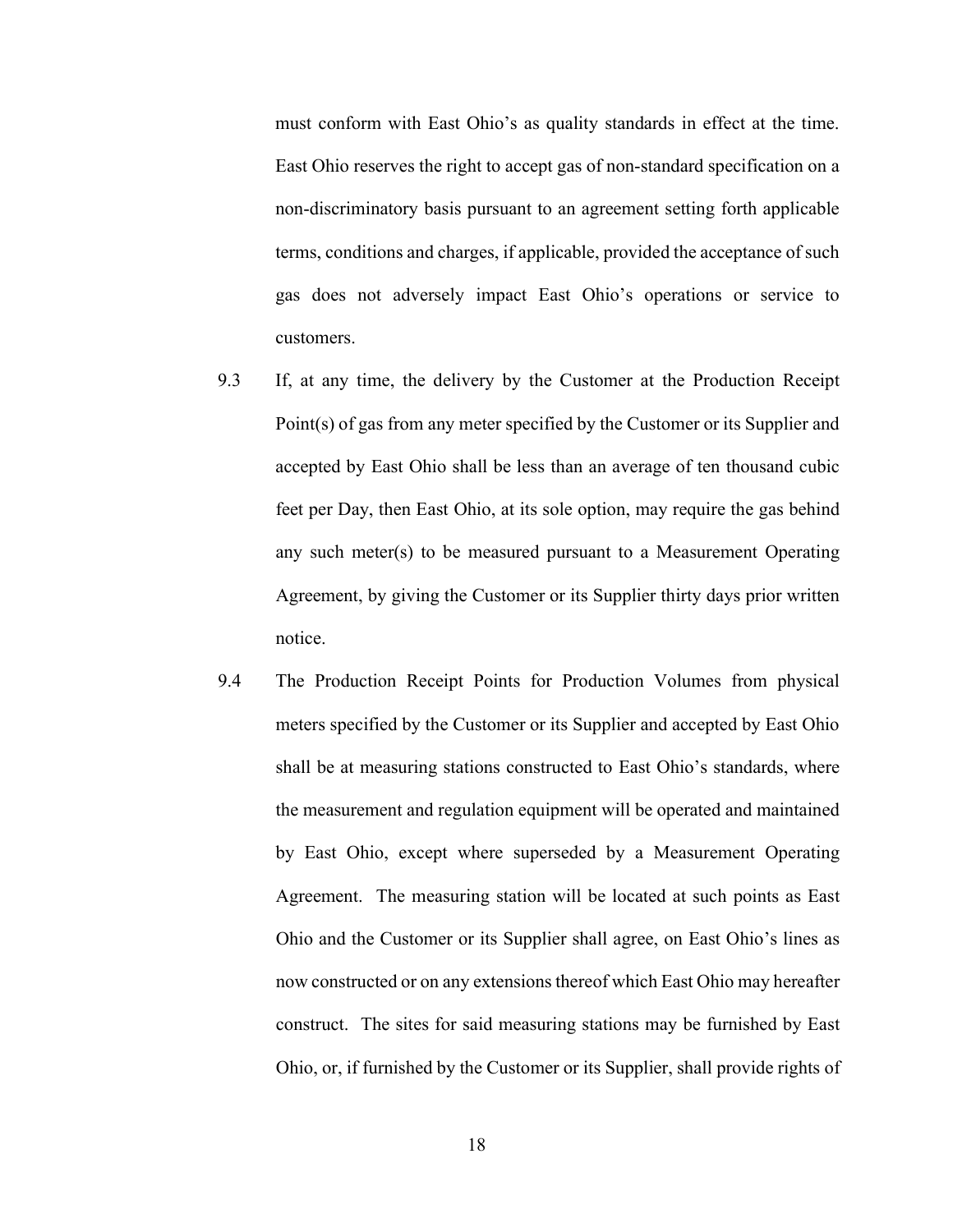must conform with East Ohio's as quality standards in effect at the time. East Ohio reserves the right to accept gas of non-standard specification on a non-discriminatory basis pursuant to an agreement setting forth applicable terms, conditions and charges, if applicable, provided the acceptance of such gas does not adversely impact East Ohio's operations or service to customers.

- 9.3 Point(s) of gas from any meter specified by the Customer or its Supplier and accepted by East Ohio shall be less than an average of ten thousand cubic feet per Day, then East Ohio, at its sole option, may require the gas behind any such meter(s) to be measured pursuant to a Measurement Operating Agreement, by giving the Customer or its Supplier thirty days prior written If, at any time, the delivery by the Customer at the Production Receipt notice.
- 9.4 meters specified by the Customer or its Supplier and accepted by East Ohio shall be at measuring stations constructed to East Ohio's standards, where the measurement and regulation equipment will be operated and maintained by East Ohio, except where superseded by a Measurement Operating Agreement. The measuring station will be located at such points as East Ohio and the Customer or its Supplier shall agree, on East Ohio's lines as now constructed or on any extensions thereof which East Ohio may hereafter construct. The sites for said measuring stations may be furnished by East Ohio, or, if furnished by the Customer or its Supplier, shall provide rights of The Production Receipt Points for Production Volumes from physical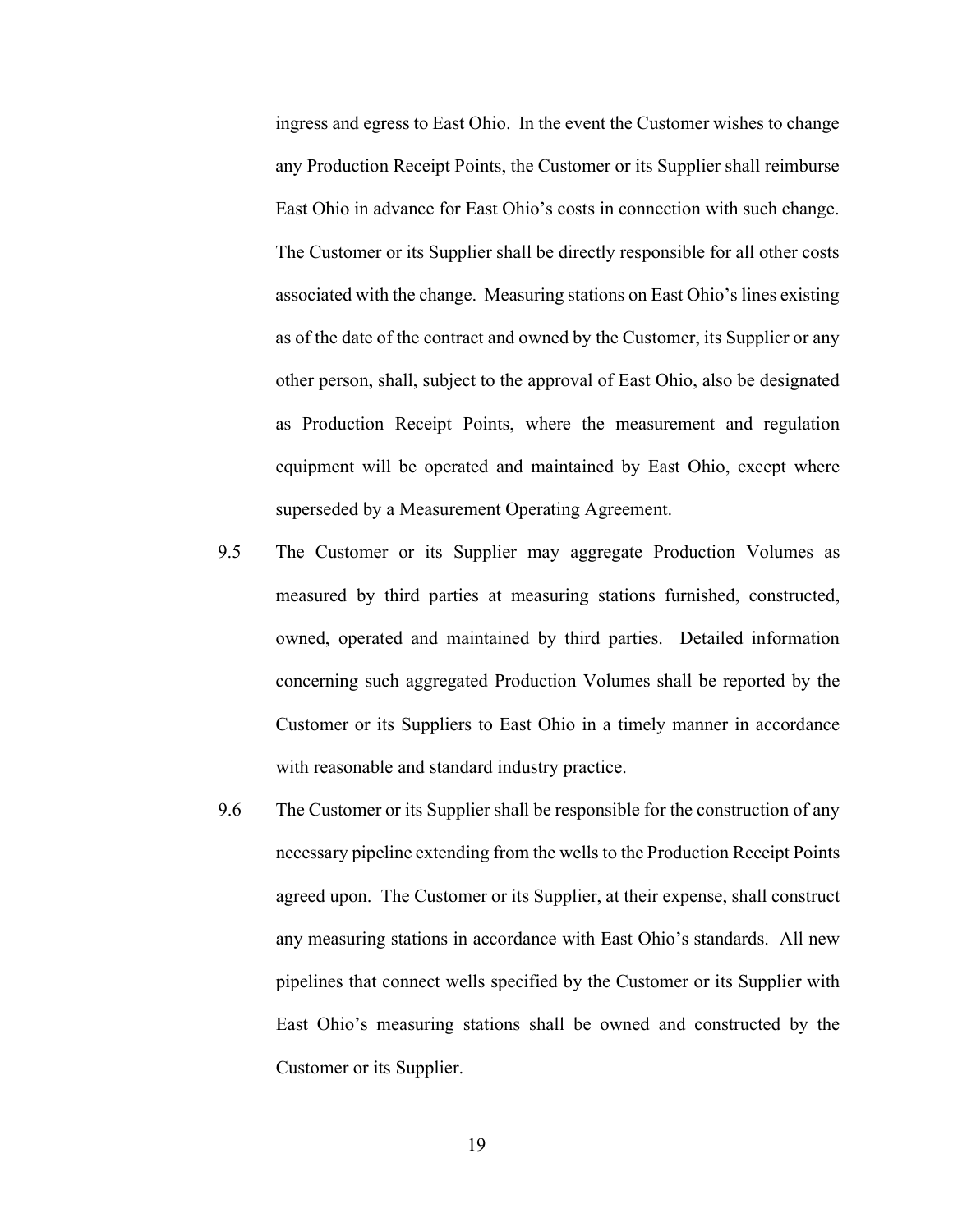ingress and egress to East Ohio. In the event the Customer wishes to change any Production Receipt Points, the Customer or its Supplier shall reimburse East Ohio in advance for East Ohio's costs in connection with such change. The Customer or its Supplier shall be directly responsible for all other costs associated with the change. Measuring stations on East Ohio's lines existing as of the date of the contract and owned by the Customer, its Supplier or any other person, shall, subject to the approval of East Ohio, also be designated as Production Receipt Points, where the measurement and regulation equipment will be operated and maintained by East Ohio, except where superseded by a Measurement Operating Agreement.

- 9.5 measured by third parties at measuring stations furnished, constructed, owned, operated and maintained by third parties. Detailed information concerning such aggregated Production Volumes shall be reported by the Customer or its Suppliers to East Ohio in a timely manner in accordance with reasonable and standard industry practice. The Customer or its Supplier may aggregate Production Volumes as
- 9.6 necessary pipeline extending from the wells to the Production Receipt Points agreed upon. The Customer or its Supplier, at their expense, shall construct any measuring stations in accordance with East Ohio's standards. All new pipelines that connect wells specified by the Customer or its Supplier with East Ohio's measuring stations shall be owned and constructed by the Customer or its Supplier. The Customer or its Supplier shall be responsible for the construction of any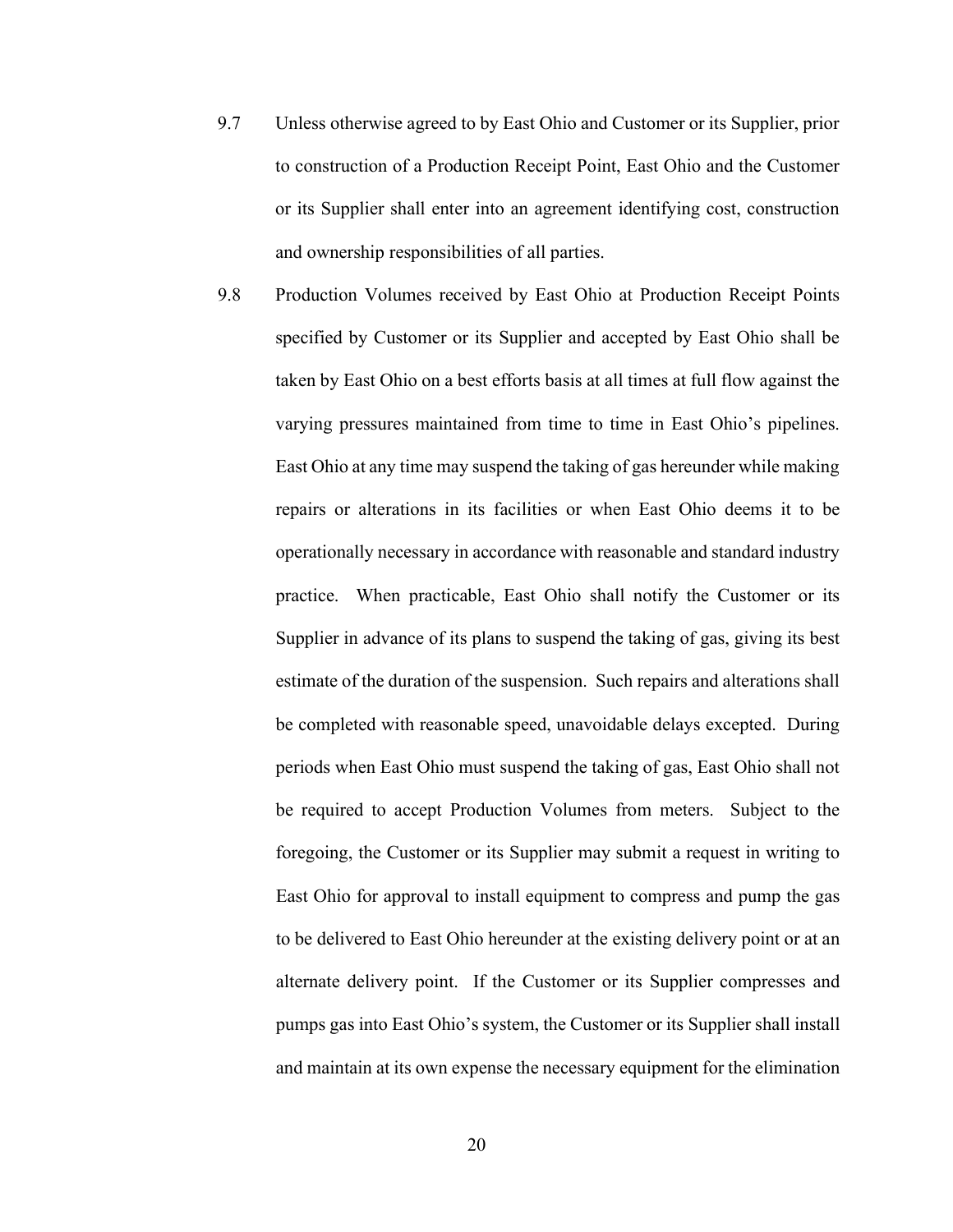- 9.7 to construction of a Production Receipt Point, East Ohio and the Customer or its Supplier shall enter into an agreement identifying cost, construction and ownership responsibilities of all parties. 9.7 Unless otherwise agreed to by East Ohio and Customer or its Supplier, prior
- 9.8 Production Volumes received by East Ohio at Production Receipt Points specified by Customer or its Supplier and accepted by East Ohio shall be taken by East Ohio on a best efforts basis at all times at full flow against the varying pressures maintained from time to time in East Ohio's pipelines. East Ohio at any time may suspend the taking of gas hereunder while making repairs or alterations in its facilities or when East Ohio deems it to be operationally necessary in accordance with reasonable and standard industry practice. When practicable, East Ohio shall notify the Customer or its Supplier in advance of its plans to suspend the taking of gas, giving its best estimate of the duration of the suspension. Such repairs and alterations shall be completed with reasonable speed, unavoidable delays excepted. During periods when East Ohio must suspend the taking of gas, East Ohio shall not be required to accept Production Volumes from meters. Subject to the foregoing, the Customer or its Supplier may submit a request in writing to East Ohio for approval to install equipment to compress and pump the gas to be delivered to East Ohio hereunder at the existing delivery point or at an alternate delivery point. If the Customer or its Supplier compresses and pumps gas into East Ohio's system, the Customer or its Supplier shall install and maintain at its own expense the necessary equipment for the elimination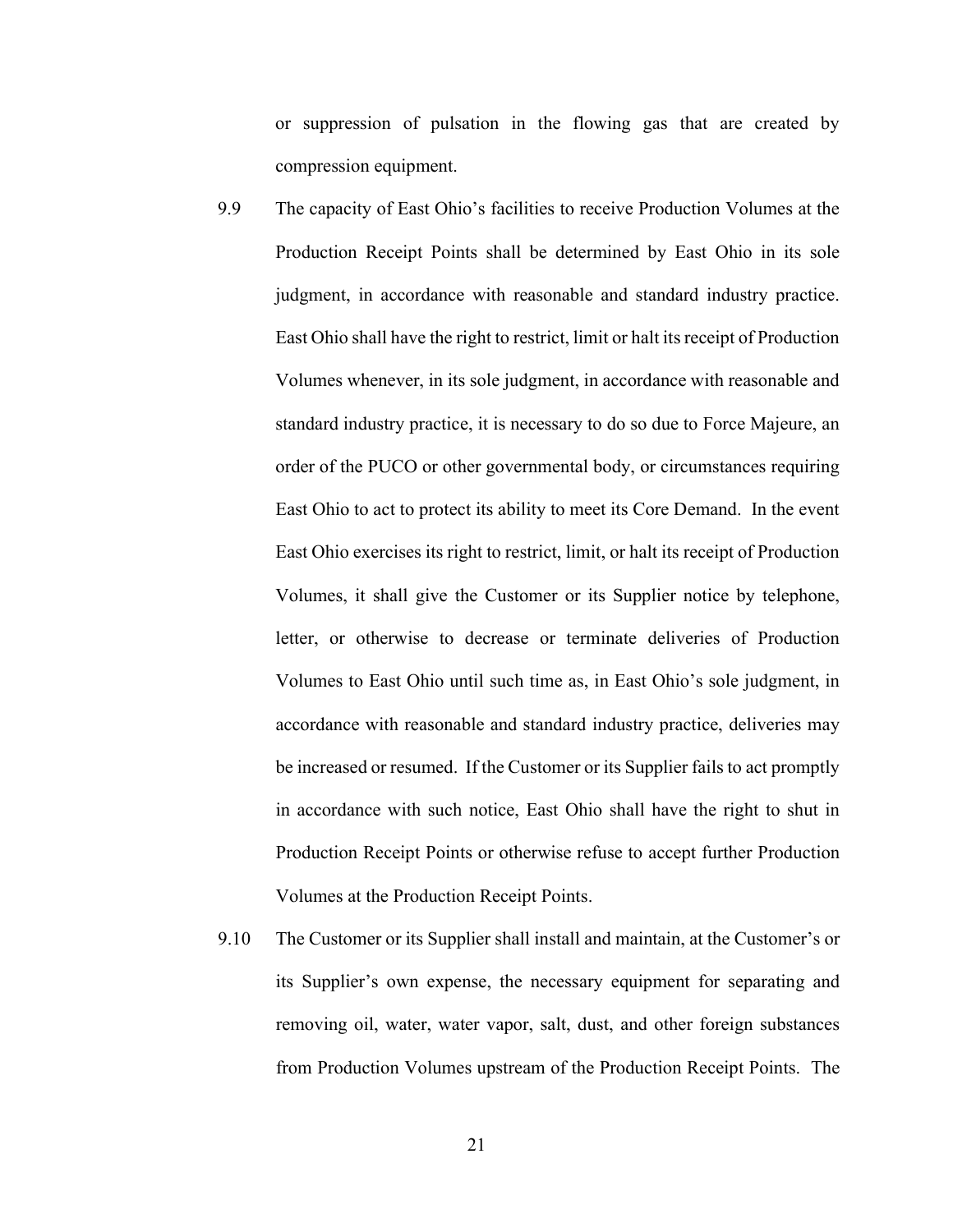or suppression of pulsation in the flowing gas that are created by compression equipment.

- 9.9 Production Receipt Points shall be determined by East Ohio in its sole judgment, in accordance with reasonable and standard industry practice. East Ohio shall have the right to restrict, limit or halt its receipt of Production Volumes whenever, in its sole judgment, in accordance with reasonable and standard industry practice, it is necessary to do so due to Force Majeure, an order of the PUCO or other governmental body, or circumstances requiring East Ohio to act to protect its ability to meet its Core Demand. In the event East Ohio exercises its right to restrict, limit, or halt its receipt of Production Volumes, it shall give the Customer or its Supplier notice by telephone, letter, or otherwise to decrease or terminate deliveries of Production Volumes to East Ohio until such time as, in East Ohio's sole judgment, in accordance with reasonable and standard industry practice, deliveries may be increased or resumed. If the Customer or its Supplier fails to act promptly in accordance with such notice, East Ohio shall have the right to shut in Production Receipt Points or otherwise refuse to accept further Production Volumes at the Production Receipt Points. The capacity of East Ohio's facilities to receive Production Volumes at the
- 9.10 its Supplier's own expense, the necessary equipment for separating and removing oil, water, water vapor, salt, dust, and other foreign substances from Production Volumes upstream of the Production Receipt Points. The The Customer or its Supplier shall install and maintain, at the Customer's or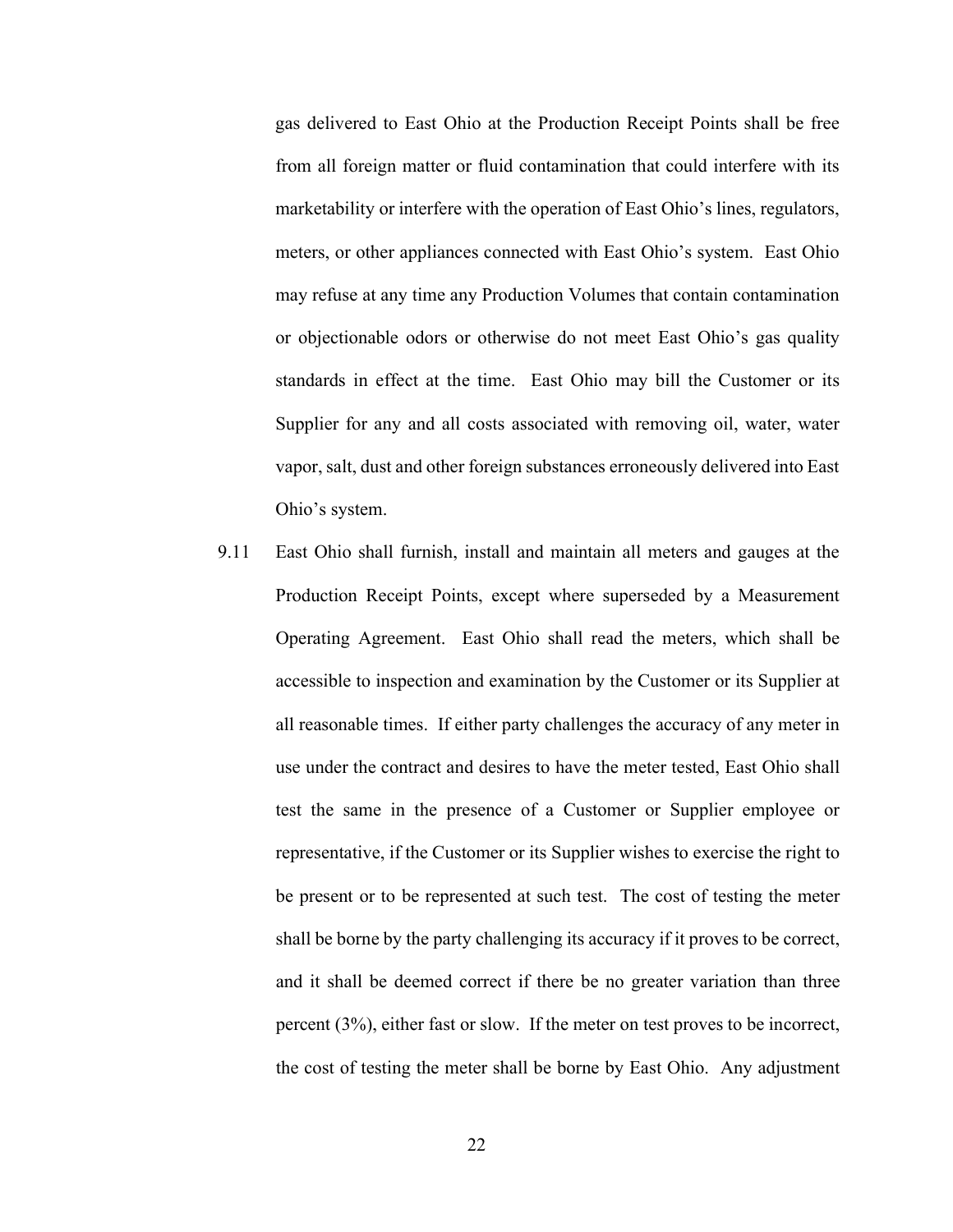gas delivered to East Ohio at the Production Receipt Points shall be free from all foreign matter or fluid contamination that could interfere with its marketability or interfere with the operation of East Ohio's lines, regulators, meters, or other appliances connected with East Ohio's system. East Ohio may refuse at any time any Production Volumes that contain contamination or objectionable odors or otherwise do not meet East Ohio's gas quality standards in effect at the time. East Ohio may bill the Customer or its Supplier for any and all costs associated with removing oil, water, water vapor, salt, dust and other foreign substances erroneously delivered into East Ohio's system.

9.11 Production Receipt Points, except where superseded by a Measurement Operating Agreement. East Ohio shall read the meters, which shall be accessible to inspection and examination by the Customer or its Supplier at all reasonable times. If either party challenges the accuracy of any meter in use under the contract and desires to have the meter tested, East Ohio shall test the same in the presence of a Customer or Supplier employee or representative, if the Customer or its Supplier wishes to exercise the right to be present or to be represented at such test. The cost of testing the meter shall be borne by the party challenging its accuracy if it proves to be correct, and it shall be deemed correct if there be no greater variation than three percent (3%), either fast or slow. If the meter on test proves to be incorrect, the cost of testing the meter shall be borne by East Ohio. Any adjustment East Ohio shall furnish, install and maintain all meters and gauges at the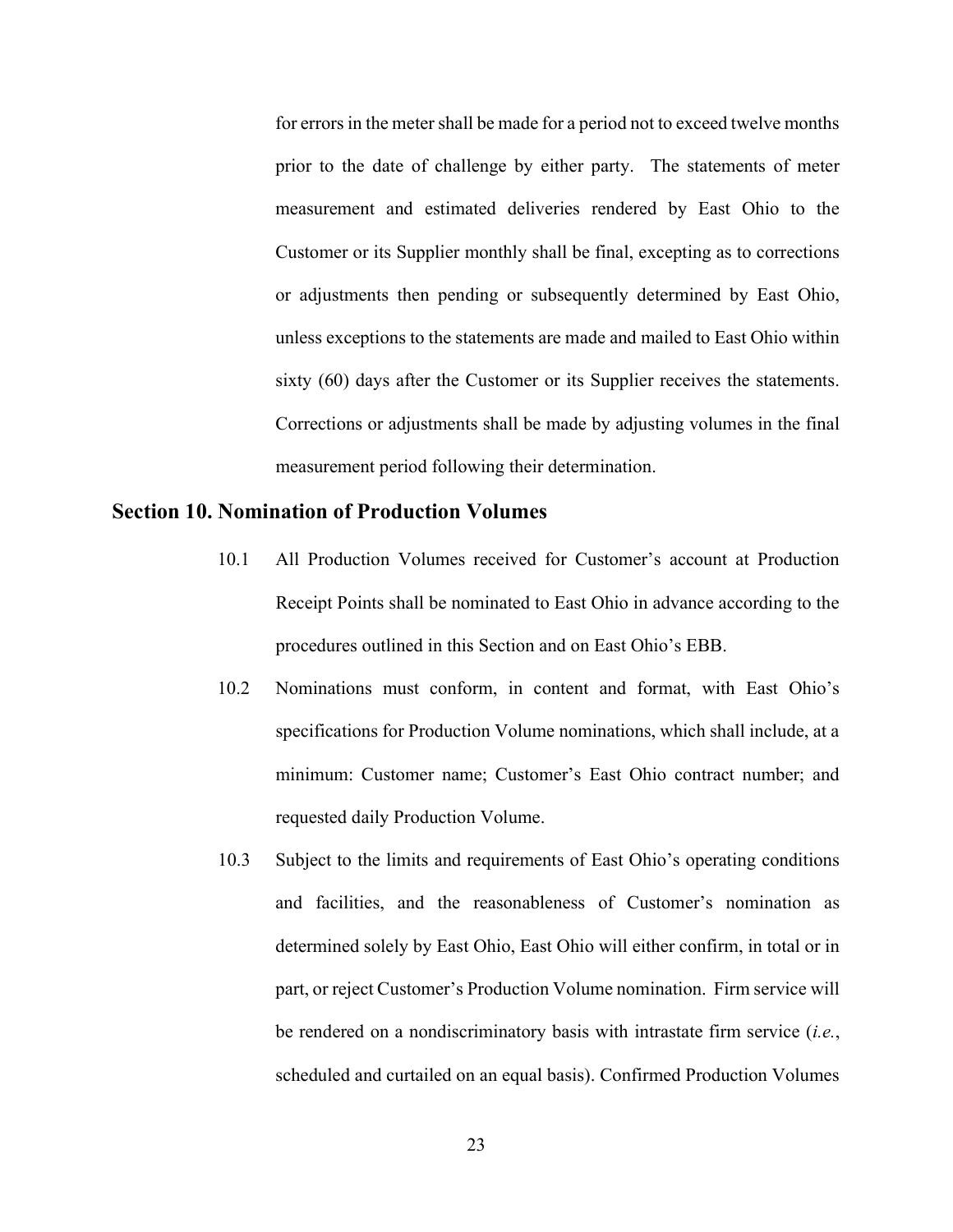for errors in the meter shall be made for a period not to exceed twelve months prior to the date of challenge by either party. The statements of meter measurement and estimated deliveries rendered by East Ohio to the Customer or its Supplier monthly shall be final, excepting as to corrections or adjustments then pending or subsequently determined by East Ohio, unless exceptions to the statements are made and mailed to East Ohio within sixty (60) days after the Customer or its Supplier receives the statements. Corrections or adjustments shall be made by adjusting volumes in the final measurement period following their determination.

## Section 10. Nomination of Production Volumes

- $10.1$  Receipt Points shall be nominated to East Ohio in advance according to the procedures outlined in this Section and on East Ohio's EBB. All Production Volumes received for Customer's account at Production
- 10.2 Nominations must conform, in content and format, with East Ohio's specifications for Production Volume nominations, which shall include, at a minimum: Customer name; Customer's East Ohio contract number; and requested daily Production Volume.
- 10.3 and facilities, and the reasonableness of Customer's nomination as determined solely by East Ohio, East Ohio will either confirm, in total or in part, or reject Customer's Production Volume nomination. Firm service will be rendered on a nondiscriminatory basis with intrastate firm service  $(i.e.,$  scheduled and curtailed on an equal basis). Confirmed Production Volumes Subject to the limits and requirements of East Ohio's operating conditions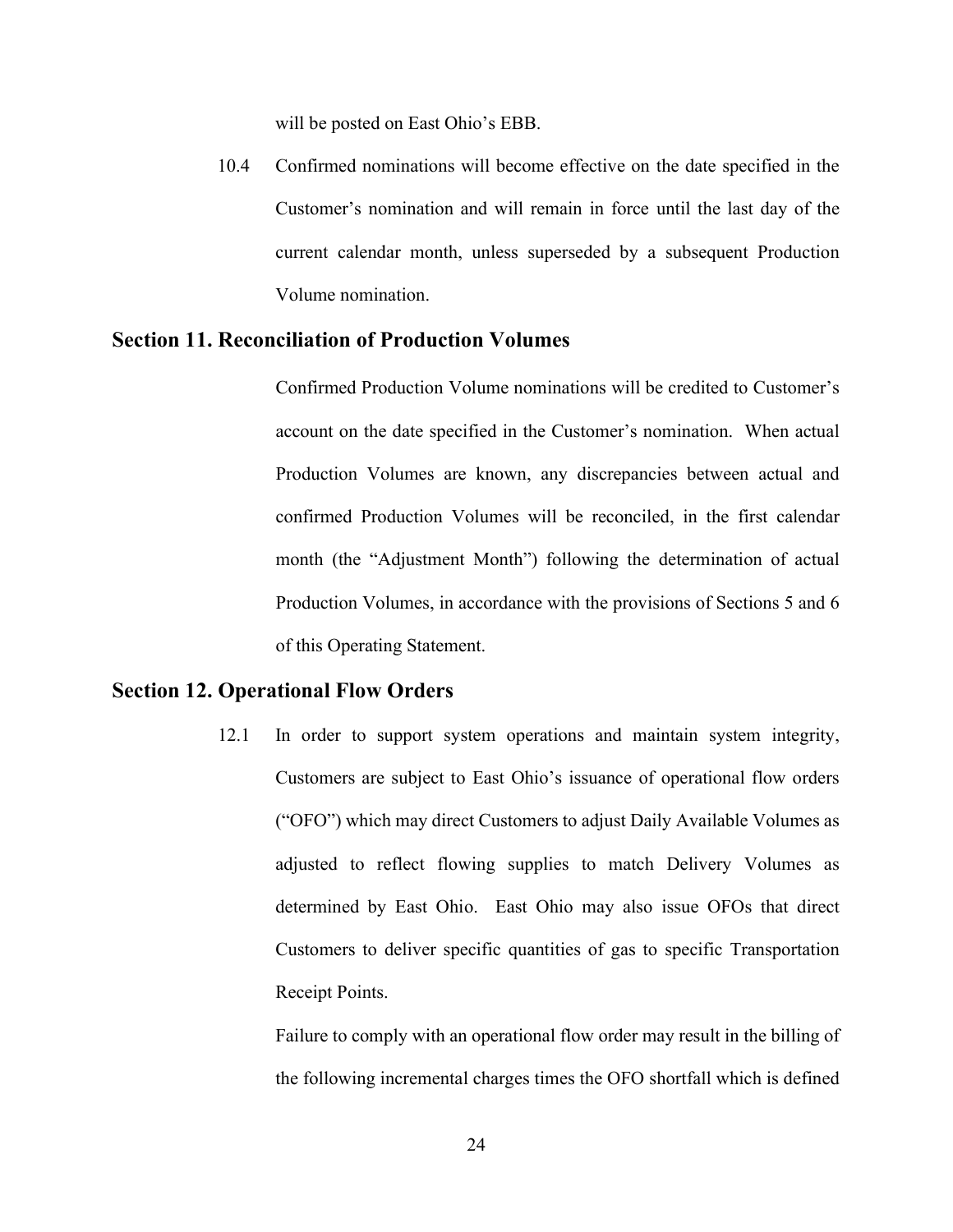will be posted on East Ohio's EBB.

 10.4 Confirmed nominations will become effective on the date specified in the Customer's nomination and will remain in force until the last day of the current calendar month, unless superseded by a subsequent Production Volume nomination.

### Section 11. Reconciliation of Production Volumes

 account on the date specified in the Customer's nomination. When actual Production Volumes are known, any discrepancies between actual and confirmed Production Volumes will be reconciled, in the first calendar month (the "Adjustment Month") following the determination of actual Production Volumes, in accordance with the provisions of Sections 5 and 6 of this Operating Statement. Confirmed Production Volume nominations will be credited to Customer's

### Section 12. Operational Flow Orders

 $12.1$  Customers are subject to East Ohio's issuance of operational flow orders ("OFO") which may direct Customers to adjust Daily Available Volumes as adjusted to reflect flowing supplies to match Delivery Volumes as determined by East Ohio. East Ohio may also issue OFOs that direct Customers to deliver specific quantities of gas to specific Transportation Receipt Points. In order to support system operations and maintain system integrity,

 the following incremental charges times the OFO shortfall which is defined Failure to comply with an operational flow order may result in the billing of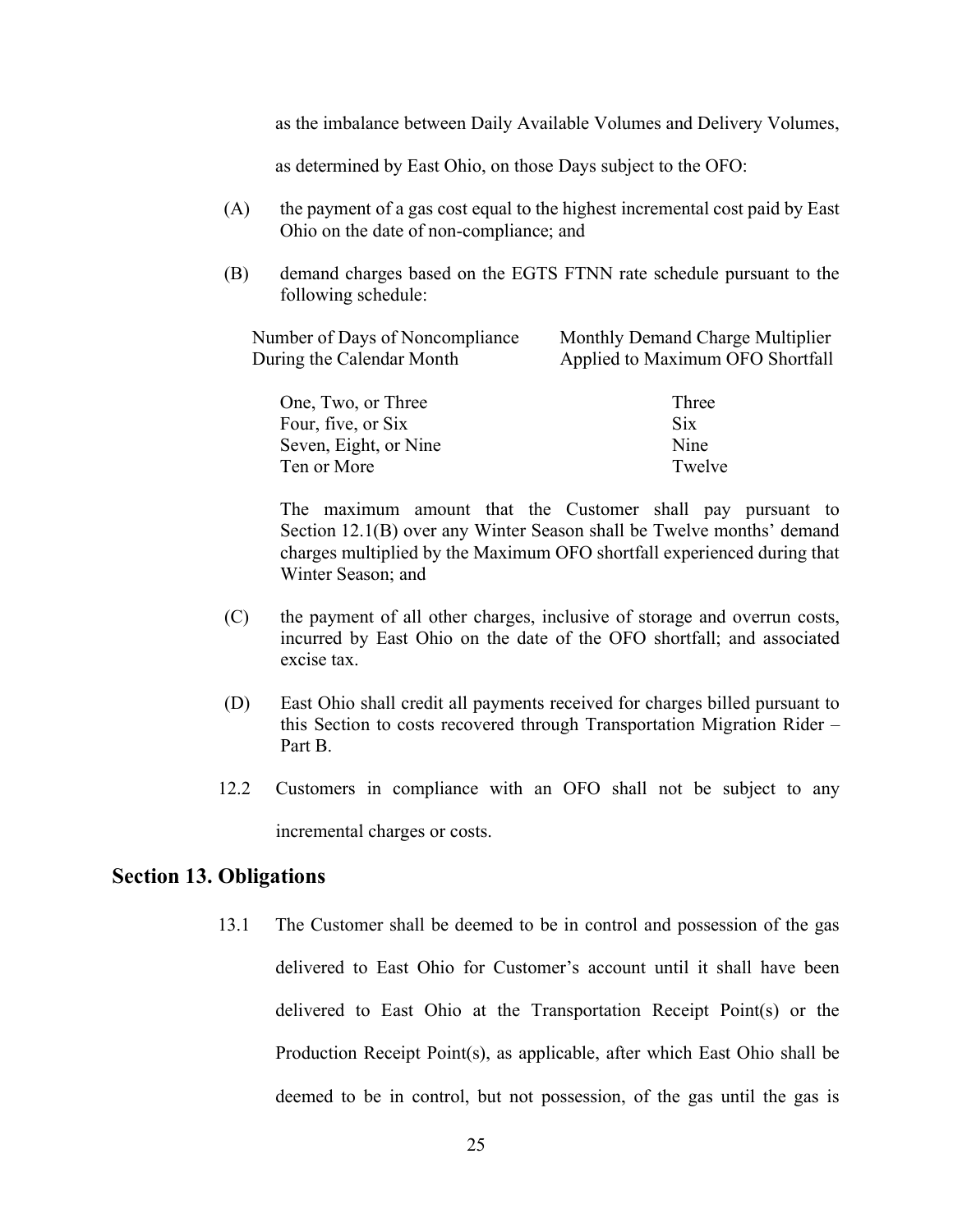as the imbalance between Daily Available Volumes and Delivery Volumes,

as determined by East Ohio, on those Days subject to the OFO:

- $(A)$  Ohio on the date of non-compliance; and the payment of a gas cost equal to the highest incremental cost paid by East
- following schedule: (B) demand charges based on the EGTS FTNN rate schedule pursuant to the

| Number of Days of Noncompliance | Monthly Demand Charge Multiplier |
|---------------------------------|----------------------------------|
| During the Calendar Month       | Applied to Maximum OFO Shortfall |

| One, Two, or Three    | Three      |
|-----------------------|------------|
| Four, five, or Six    | <b>Six</b> |
| Seven, Eight, or Nine | Nine       |
| Ten or More           | Twelve     |

 The maximum amount that the Customer shall pay pursuant to Section 12.1(B) over any Winter Season shall be Twelve months' demand charges multiplied by the Maximum OFO shortfall experienced during that Winter Season; and

- incurred by East Ohio on the date of the OFO shortfall; and associated excise tax. (C) the payment of all other charges, inclusive of storage and overrun costs,
- this Section to costs recovered through Transportation Migration Rider Part B. (D) East Ohio shall credit all payments received for charges billed pursuant to
- 12.2 Customers in compliance with an OFO shall not be subject to any incremental charges or costs.

### Section 13. Obligations

13.1 delivered to East Ohio for Customer's account until it shall have been delivered to East Ohio at the Transportation Receipt Point(s) or the Production Receipt Point(s), as applicable, after which East Ohio shall be deemed to be in control, but not possession, of the gas until the gas is The Customer shall be deemed to be in control and possession of the gas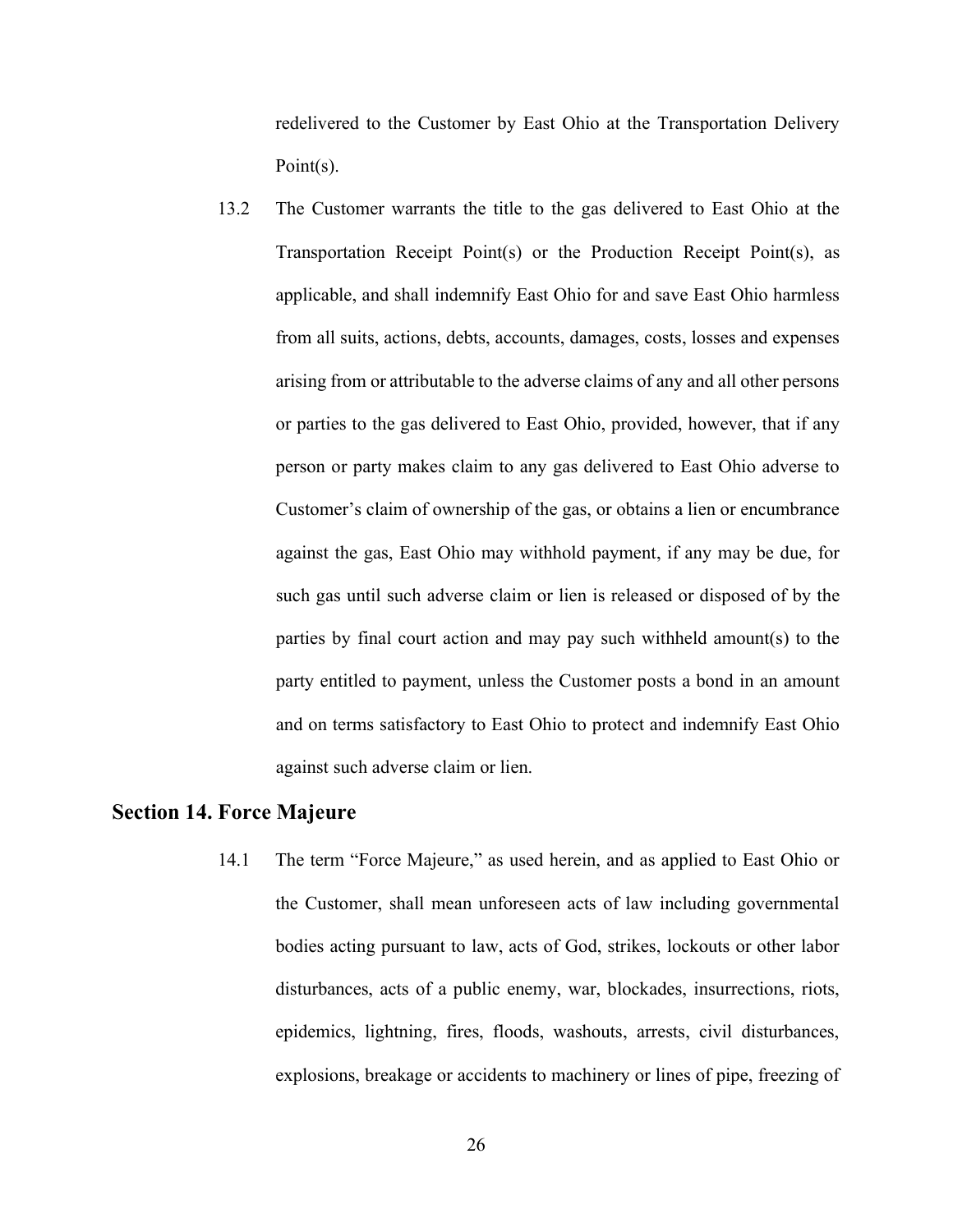redelivered to the Customer by East Ohio at the Transportation Delivery Point(s).

13.2 Transportation Receipt Point(s) or the Production Receipt Point(s), as applicable, and shall indemnify East Ohio for and save East Ohio harmless from all suits, actions, debts, accounts, damages, costs, losses and expenses arising from or attributable to the adverse claims of any and all other persons or parties to the gas delivered to East Ohio, provided, however, that if any person or party makes claim to any gas delivered to East Ohio adverse to Customer's claim of ownership of the gas, or obtains a lien or encumbrance against the gas, East Ohio may withhold payment, if any may be due, for such gas until such adverse claim or lien is released or disposed of by the parties by final court action and may pay such withheld amount(s) to the party entitled to payment, unless the Customer posts a bond in an amount and on terms satisfactory to East Ohio to protect and indemnify East Ohio against such adverse claim or lien. The Customer warrants the title to the gas delivered to East Ohio at the

### Section 14. Force Majeure

14.1 the Customer, shall mean unforeseen acts of law including governmental bodies acting pursuant to law, acts of God, strikes, lockouts or other labor disturbances, acts of a public enemy, war, blockades, insurrections, riots, epidemics, lightning, fires, floods, washouts, arrests, civil disturbances, explosions, breakage or accidents to machinery or lines of pipe, freezing of The term "Force Majeure," as used herein, and as applied to East Ohio or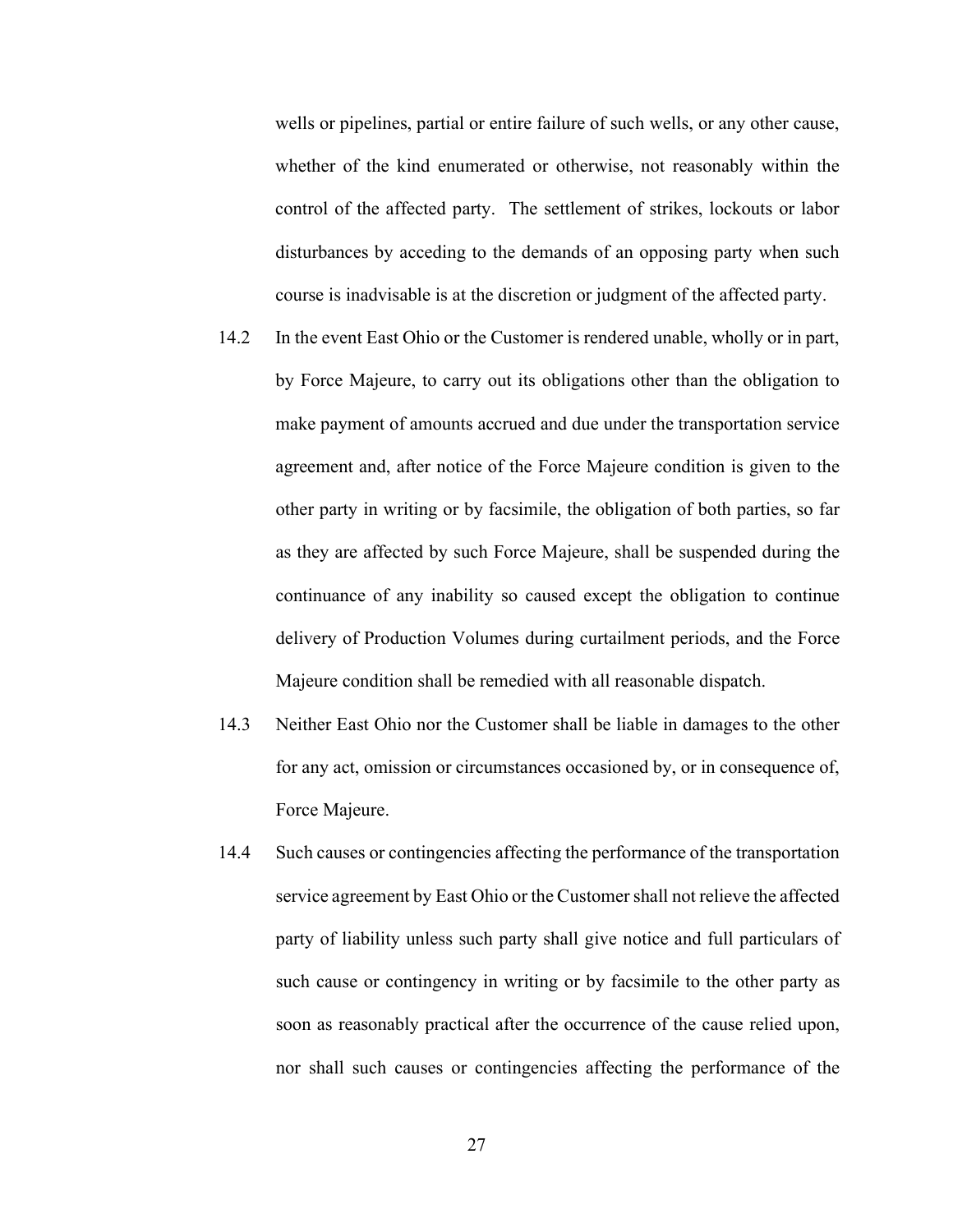wells or pipelines, partial or entire failure of such wells, or any other cause, whether of the kind enumerated or otherwise, not reasonably within the control of the affected party. The settlement of strikes, lockouts or labor disturbances by acceding to the demands of an opposing party when such course is inadvisable is at the discretion or judgment of the affected party.

- 14.2 by Force Majeure, to carry out its obligations other than the obligation to make payment of amounts accrued and due under the transportation service agreement and, after notice of the Force Majeure condition is given to the other party in writing or by facsimile, the obligation of both parties, so far as they are affected by such Force Majeure, shall be suspended during the continuance of any inability so caused except the obligation to continue delivery of Production Volumes during curtailment periods, and the Force Majeure condition shall be remedied with all reasonable dispatch. In the event East Ohio or the Customer is rendered unable, wholly or in part,
- $14.3$  for any act, omission or circumstances occasioned by, or in consequence of, Force Majeure. Neither East Ohio nor the Customer shall be liable in damages to the other
- 14.4 service agreement by East Ohio or the Customer shall not relieve the affected party of liability unless such party shall give notice and full particulars of such cause or contingency in writing or by facsimile to the other party as soon as reasonably practical after the occurrence of the cause relied upon, nor shall such causes or contingencies affecting the performance of the Such causes or contingencies affecting the performance of the transportation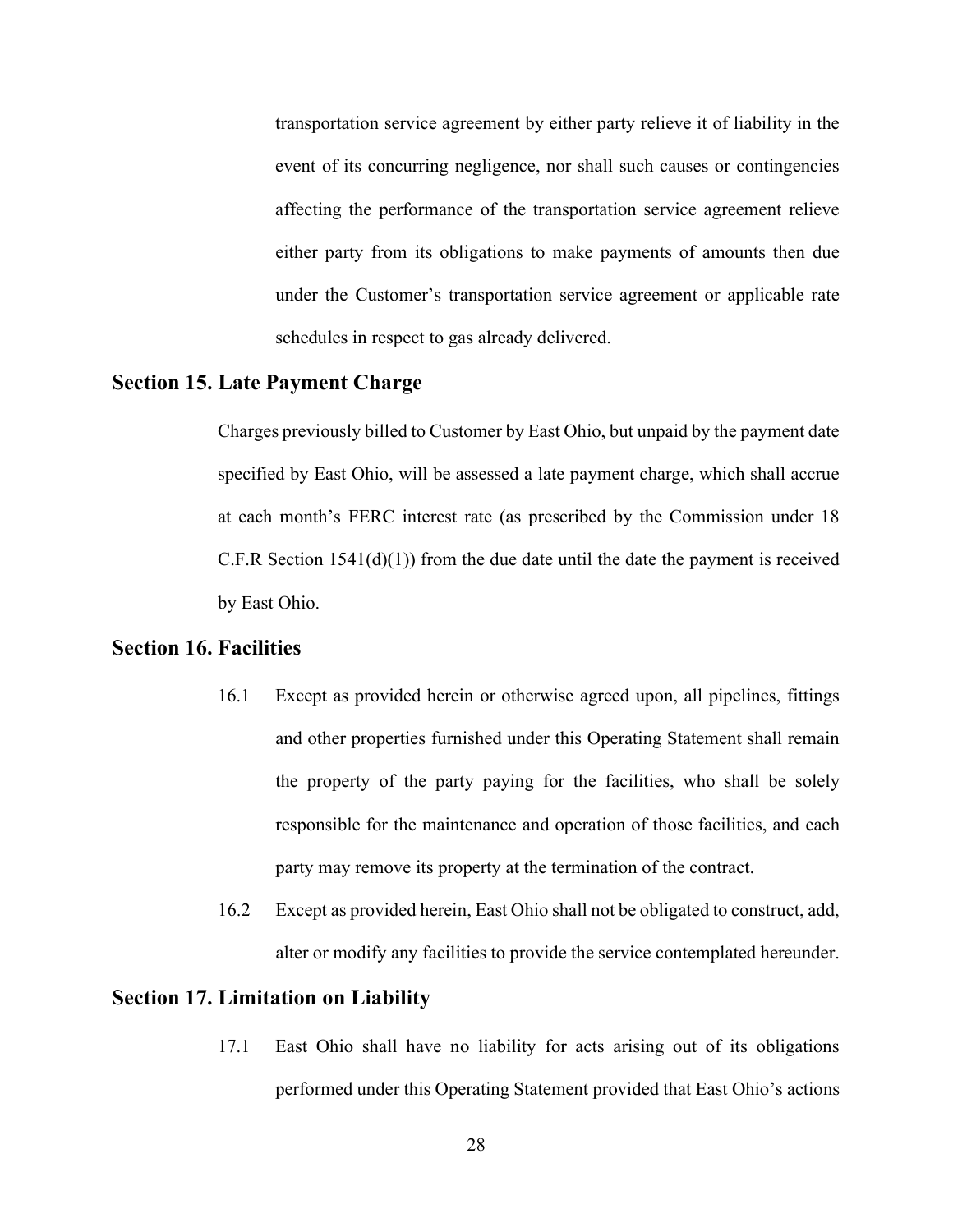transportation service agreement by either party relieve it of liability in the event of its concurring negligence, nor shall such causes or contingencies affecting the performance of the transportation service agreement relieve either party from its obligations to make payments of amounts then due under the Customer's transportation service agreement or applicable rate schedules in respect to gas already delivered.

### Section 15. Late Payment Charge

 Charges previously billed to Customer by East Ohio, but unpaid by the payment date specified by East Ohio, will be assessed a late payment charge, which shall accrue at each month's FERC interest rate (as prescribed by the Commission under 18 C.F.R Section  $1541(d)(1)$  from the due date until the date the payment is received by East Ohio.

### Section 16. Facilities

- $16.1$  and other properties furnished under this Operating Statement shall remain the property of the party paying for the facilities, who shall be solely responsible for the maintenance and operation of those facilities, and each party may remove its property at the termination of the contract. Except as provided herein or otherwise agreed upon, all pipelines, fittings
- $16.2$  alter or modify any facilities to provide the service contemplated hereunder. Except as provided herein, East Ohio shall not be obligated to construct, add,

## Section 17. Limitation on Liability

17.1 performed under this Operating Statement provided that East Ohio's actions East Ohio shall have no liability for acts arising out of its obligations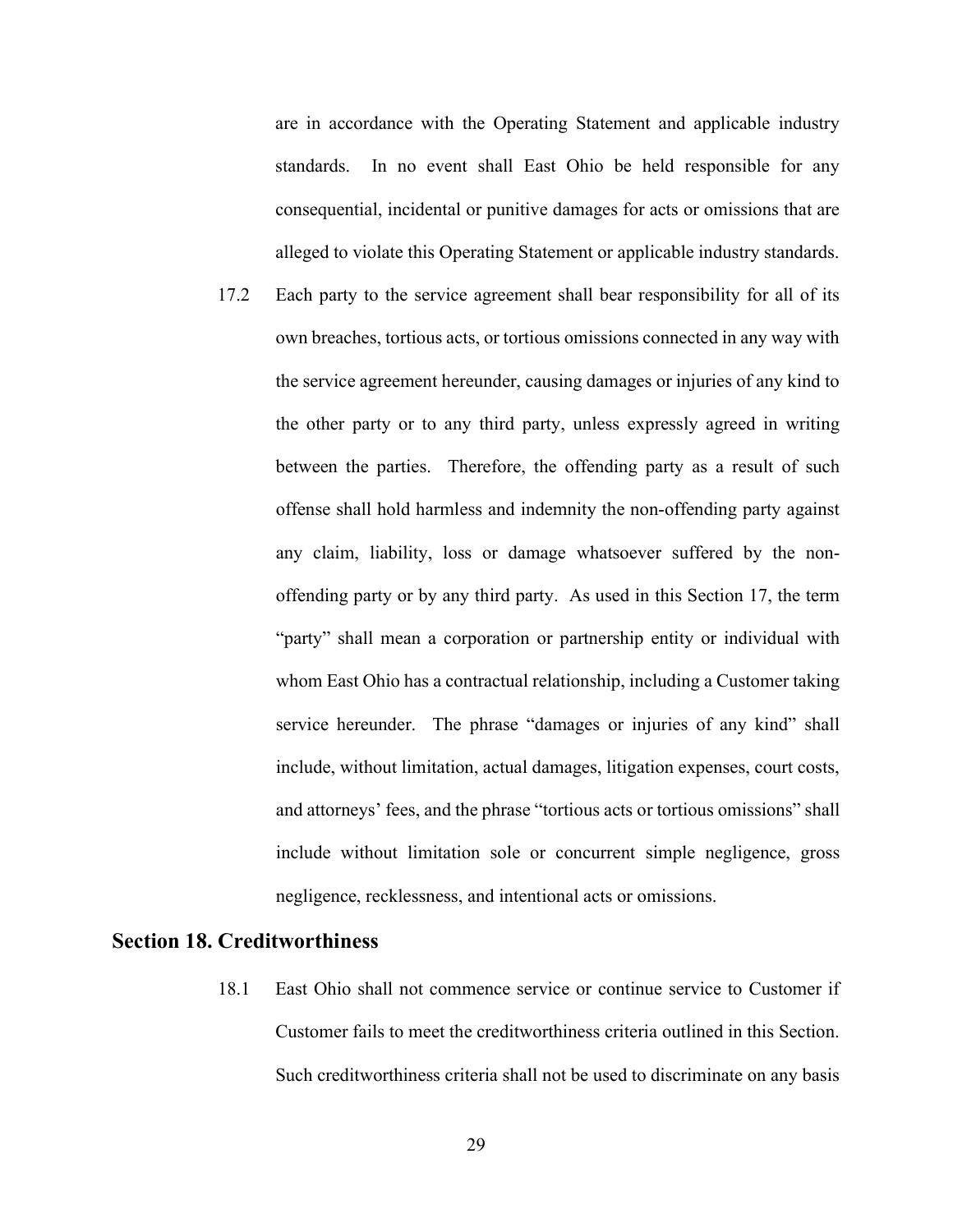are in accordance with the Operating Statement and applicable industry standards. consequential, incidental or punitive damages for acts or omissions that are alleged to violate this Operating Statement or applicable industry standards. In no event shall East Ohio be held responsible for any

17.2 own breaches, tortious acts, or tortious omissions connected in any way with the service agreement hereunder, causing damages or injuries of any kind to the other party or to any third party, unless expressly agreed in writing between the parties. Therefore, the offending party as a result of such offense shall hold harmless and indemnity the non-offending party against any claim, liability, loss or damage whatsoever suffered by the non- offending party or by any third party. As used in this Section 17, the term "party" shall mean a corporation or partnership entity or individual with whom East Ohio has a contractual relationship, including a Customer taking service hereunder. The phrase "damages or injuries of any kind" shall include, without limitation, actual damages, litigation expenses, court costs, and attorneys' fees, and the phrase "tortious acts or tortious omissions" shall include without limitation sole or concurrent simple negligence, gross negligence, recklessness, and intentional acts or omissions. Each party to the service agreement shall bear responsibility for all of its

### Section 18. Creditworthiness

18.1 Customer fails to meet the creditworthiness criteria outlined in this Section. Such creditworthiness criteria shall not be used to discriminate on any basis East Ohio shall not commence service or continue service to Customer if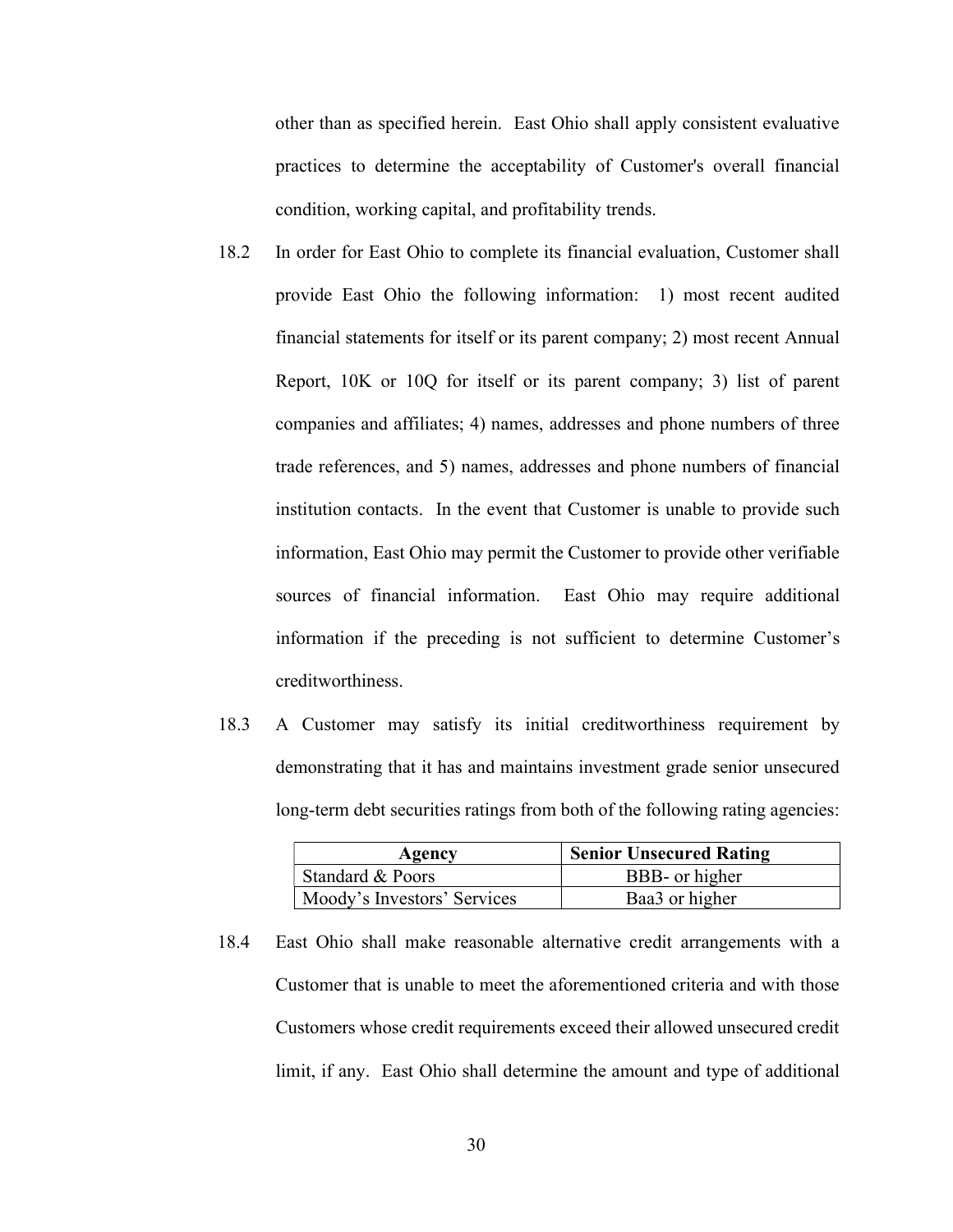other than as specified herein. East Ohio shall apply consistent evaluative practices to determine the acceptability of Customer's overall financial condition, working capital, and profitability trends.

- 18.2 provide East Ohio the following information: 1) most recent audited financial statements for itself or its parent company; 2) most recent Annual Report, 10K or 10Q for itself or its parent company; 3) list of parent companies and affiliates; 4) names, addresses and phone numbers of three trade references, and 5) names, addresses and phone numbers of financial institution contacts. In the event that Customer is unable to provide such information, East Ohio may permit the Customer to provide other verifiable sources of financial information. information if the preceding is not sufficient to determine Customer's creditworthiness. In order for East Ohio to complete its financial evaluation, Customer shall East Ohio may require additional
- 18.3 demonstrating that it has and maintains investment grade senior unsecured long-term debt securities ratings from both of the following rating agencies: 18.3 A Customer may satisfy its initial creditworthiness requirement by

| Agency                      | <b>Senior Unsecured Rating</b> |
|-----------------------------|--------------------------------|
| Standard & Poors            | BBB- or higher                 |
| Moody's Investors' Services | Baa3 or higher                 |

18.4 Customer that is unable to meet the aforementioned criteria and with those Customers whose credit requirements exceed their allowed unsecured credit limit, if any. East Ohio shall determine the amount and type of additional East Ohio shall make reasonable alternative credit arrangements with a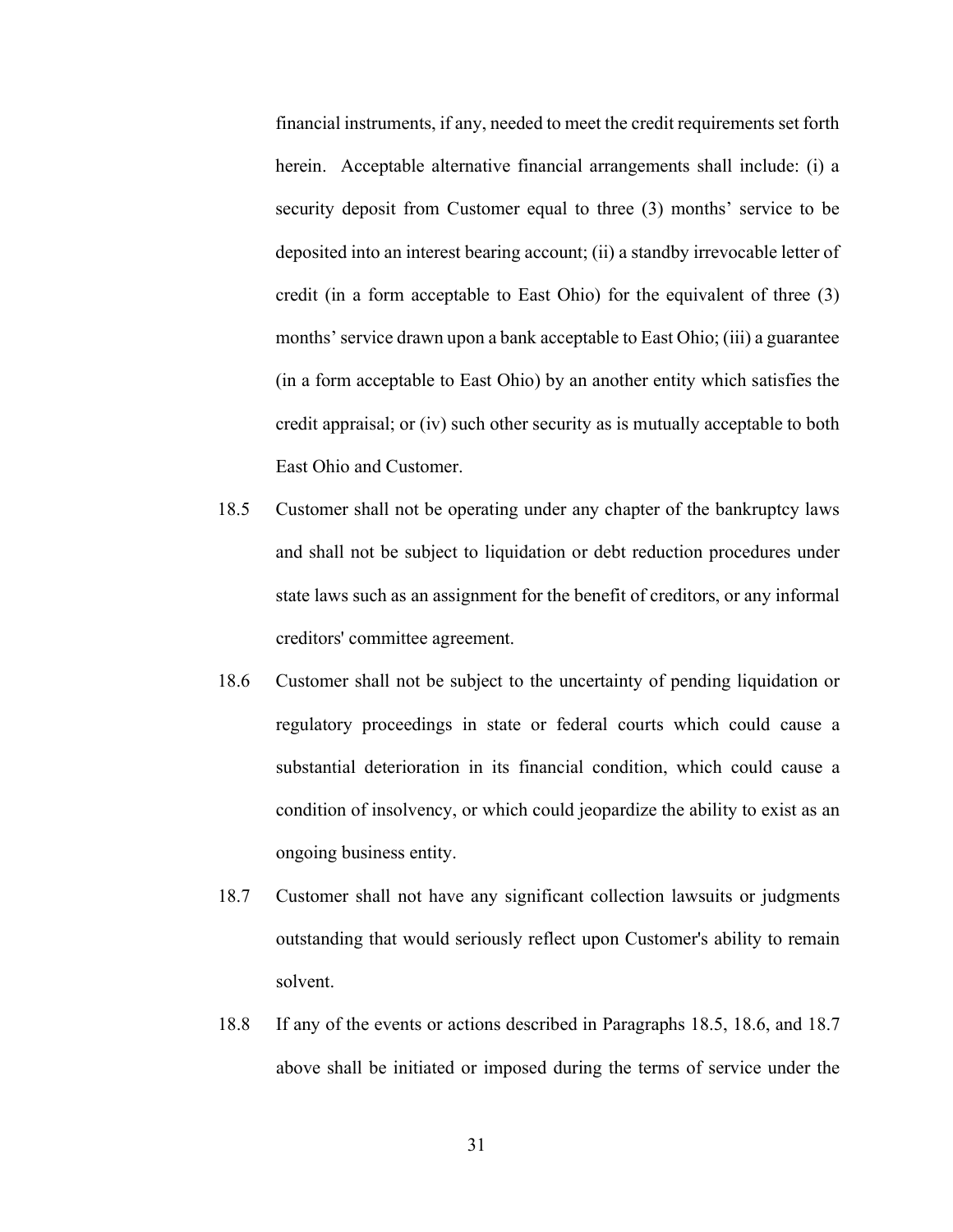financial instruments, if any, needed to meet the credit requirements set forth herein. Acceptable alternative financial arrangements shall include: (i) a security deposit from Customer equal to three (3) months' service to be deposited into an interest bearing account; (ii) a standby irrevocable letter of credit (in a form acceptable to East Ohio) for the equivalent of three (3) months'service drawn upon a bank acceptable to East Ohio; (iii) a guarantee (in a form acceptable to East Ohio) by an another entity which satisfies the credit appraisal; or (iv) such other security as is mutually acceptable to both East Ohio and Customer.

- 18.5 Customer shall not be operating under any chapter of the bankruptcy laws and shall not be subject to liquidation or debt reduction procedures under state laws such as an assignment for the benefit of creditors, or any informal creditors' committee agreement.
- 18.6 Customer shall not be subject to the uncertainty of pending liquidation or regulatory proceedings in state or federal courts which could cause a substantial deterioration in its financial condition, which could cause a condition of insolvency, or which could jeopardize the ability to exist as an ongoing business entity.
- 18.7 Customer shall not have any significant collection lawsuits or judgments outstanding that would seriously reflect upon Customer's ability to remain solvent.
- 18.8 above shall be initiated or imposed during the terms of service under the 18.8 If any of the events or actions described in Paragraphs 18.5, 18.6, and 18.7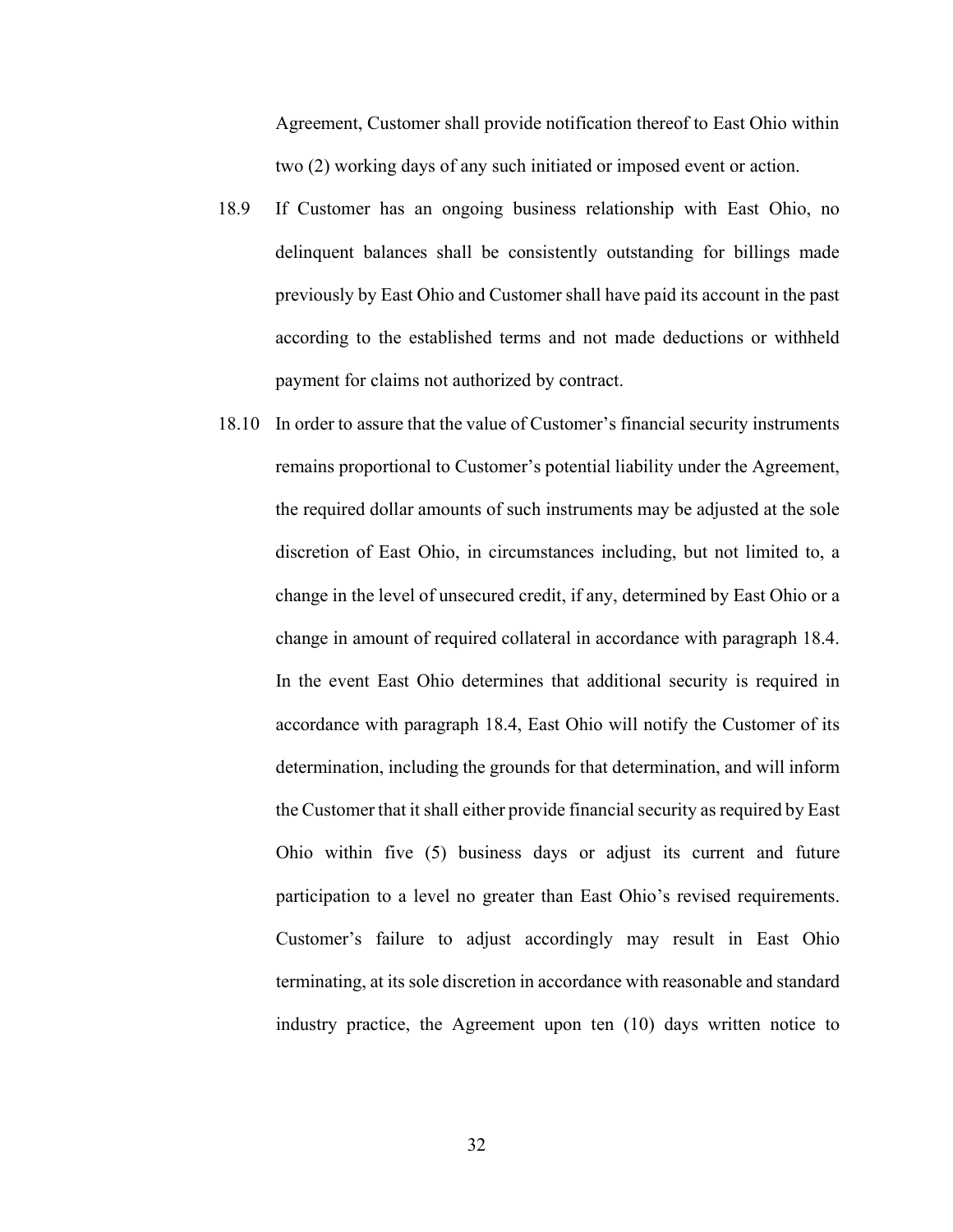Agreement, Customer shall provide notification thereof to East Ohio within two (2) working days of any such initiated or imposed event or action.

- 18.9 delinquent balances shall be consistently outstanding for billings made previously by East Ohio and Customer shall have paid its account in the past according to the established terms and not made deductions or withheld payment for claims not authorized by contract. If Customer has an ongoing business relationship with East Ohio, no
- 18.10 In order to assure that the value of Customer's financial security instruments remains proportional to Customer's potential liability under the Agreement, the required dollar amounts of such instruments may be adjusted at the sole discretion of East Ohio, in circumstances including, but not limited to, a change in the level of unsecured credit, if any, determined by East Ohio or a change in amount of required collateral in accordance with paragraph 18.4. In the event East Ohio determines that additional security is required in accordance with paragraph 18.4, East Ohio will notify the Customer of its determination, including the grounds for that determination, and will inform the Customer that it shall either provide financial security as required by East Ohio within five (5) business days or adjust its current and future participation to a level no greater than East Ohio's revised requirements. Customer's failure to adjust accordingly may result in East Ohio terminating, at its sole discretion in accordance with reasonable and standard industry practice, the Agreement upon ten (10) days written notice to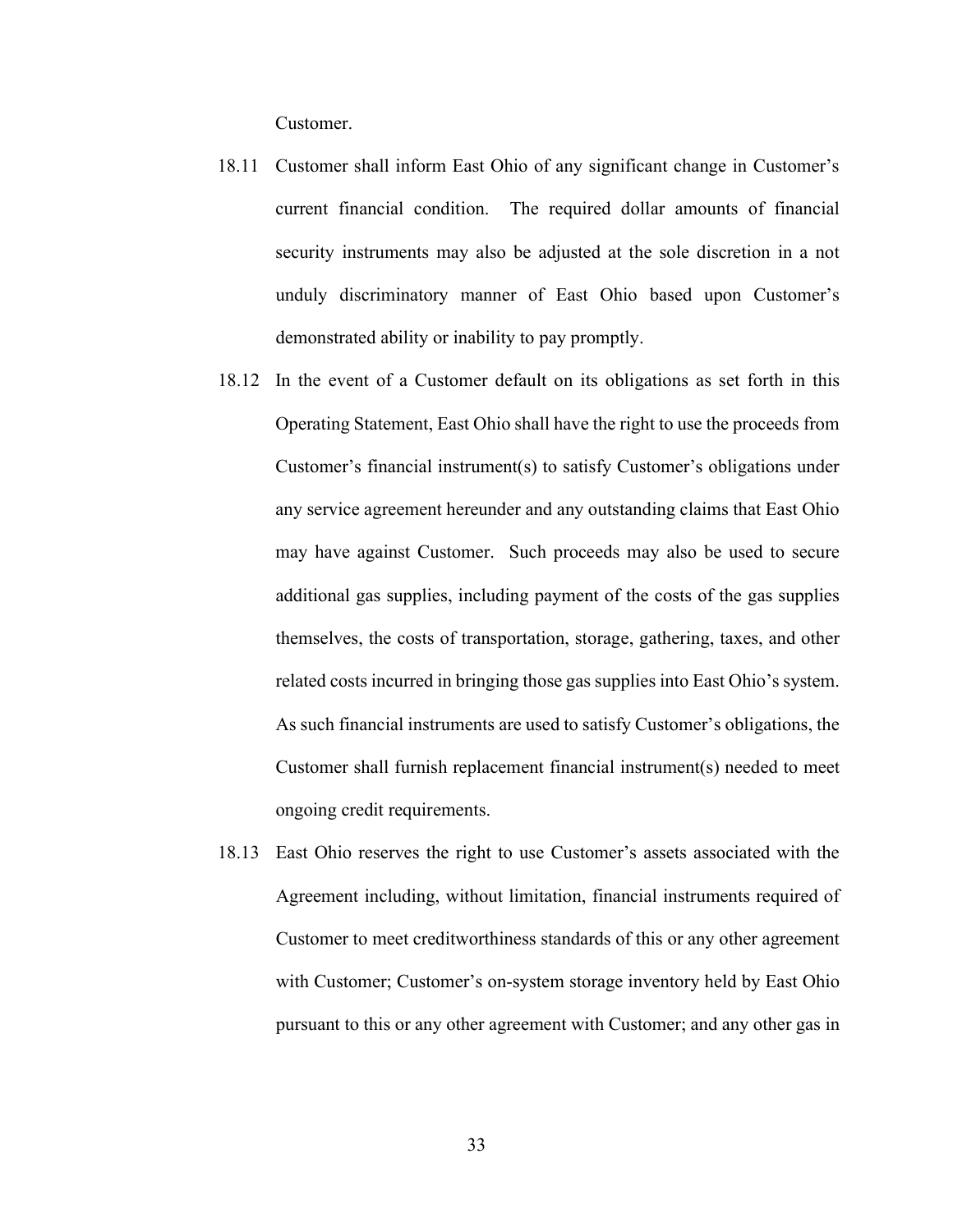Customer.

- 18.11 Customer shall inform East Ohio of any significant change in Customer's current financial condition. security instruments may also be adjusted at the sole discretion in a not unduly discriminatory manner of East Ohio based upon Customer's demonstrated ability or inability to pay promptly. The required dollar amounts of financial
- 18.12 In the event of a Customer default on its obligations as set forth in this Operating Statement, East Ohio shall have the right to use the proceeds from Customer's financial instrument(s) to satisfy Customer's obligations under any service agreement hereunder and any outstanding claims that East Ohio may have against Customer. Such proceeds may also be used to secure additional gas supplies, including payment of the costs of the gas supplies themselves, the costs of transportation, storage, gathering, taxes, and other related costs incurred in bringing those gas supplies into East Ohio's system. As such financial instruments are used to satisfy Customer's obligations, the Customer shall furnish replacement financial instrument(s) needed to meet ongoing credit requirements.
- 18.13 East Ohio reserves the right to use Customer's assets associated with the Agreement including, without limitation, financial instruments required of Customer to meet creditworthiness standards of this or any other agreement with Customer; Customer's on-system storage inventory held by East Ohio pursuant to this or any other agreement with Customer; and any other gas in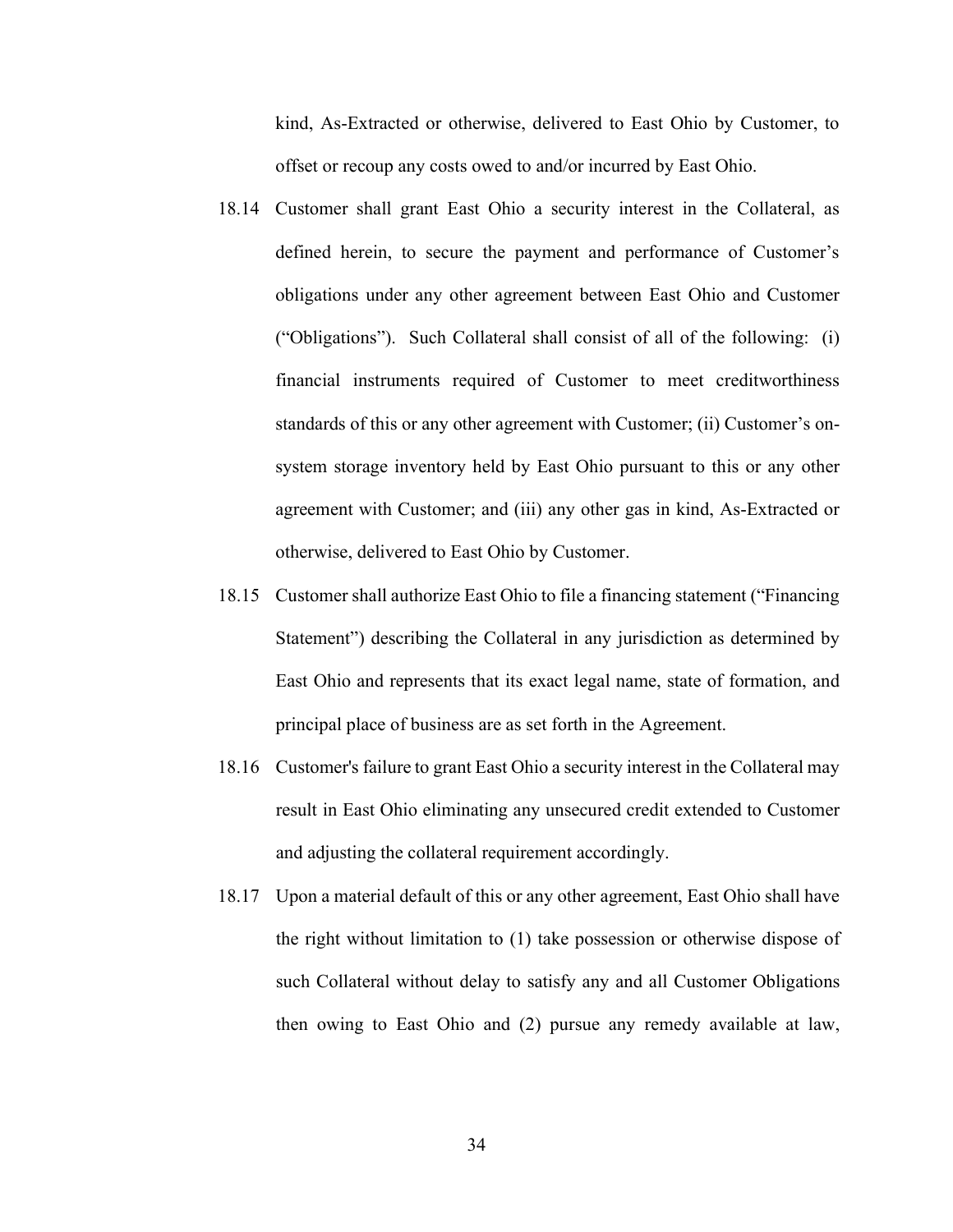kind, As-Extracted or otherwise, delivered to East Ohio by Customer, to offset or recoup any costs owed to and/or incurred by East Ohio.

- 18.14 Customer shall grant East Ohio a security interest in the Collateral, as defined herein, to secure the payment and performance of Customer's obligations under any other agreement between East Ohio and Customer ("Obligations"). Such Collateral shall consist of all of the following: (i) financial instruments required of Customer to meet creditworthiness standards of this or any other agreement with Customer; (ii) Customer's on- system storage inventory held by East Ohio pursuant to this or any other agreement with Customer; and (iii) any other gas in kind, As-Extracted or otherwise, delivered to East Ohio by Customer.
- 18.15 Customer shall authorize East Ohio to file a financing statement ("Financing Statement") describing the Collateral in any jurisdiction as determined by East Ohio and represents that its exact legal name, state of formation, and principal place of business are as set forth in the Agreement.
- 18.16 Customer's failure to grant East Ohio a security interest in the Collateral may result in East Ohio eliminating any unsecured credit extended to Customer and adjusting the collateral requirement accordingly.
- 18.17 Upon a material default of this or any other agreement, East Ohio shall have the right without limitation to (1) take possession or otherwise dispose of such Collateral without delay to satisfy any and all Customer Obligations then owing to East Ohio and (2) pursue any remedy available at law,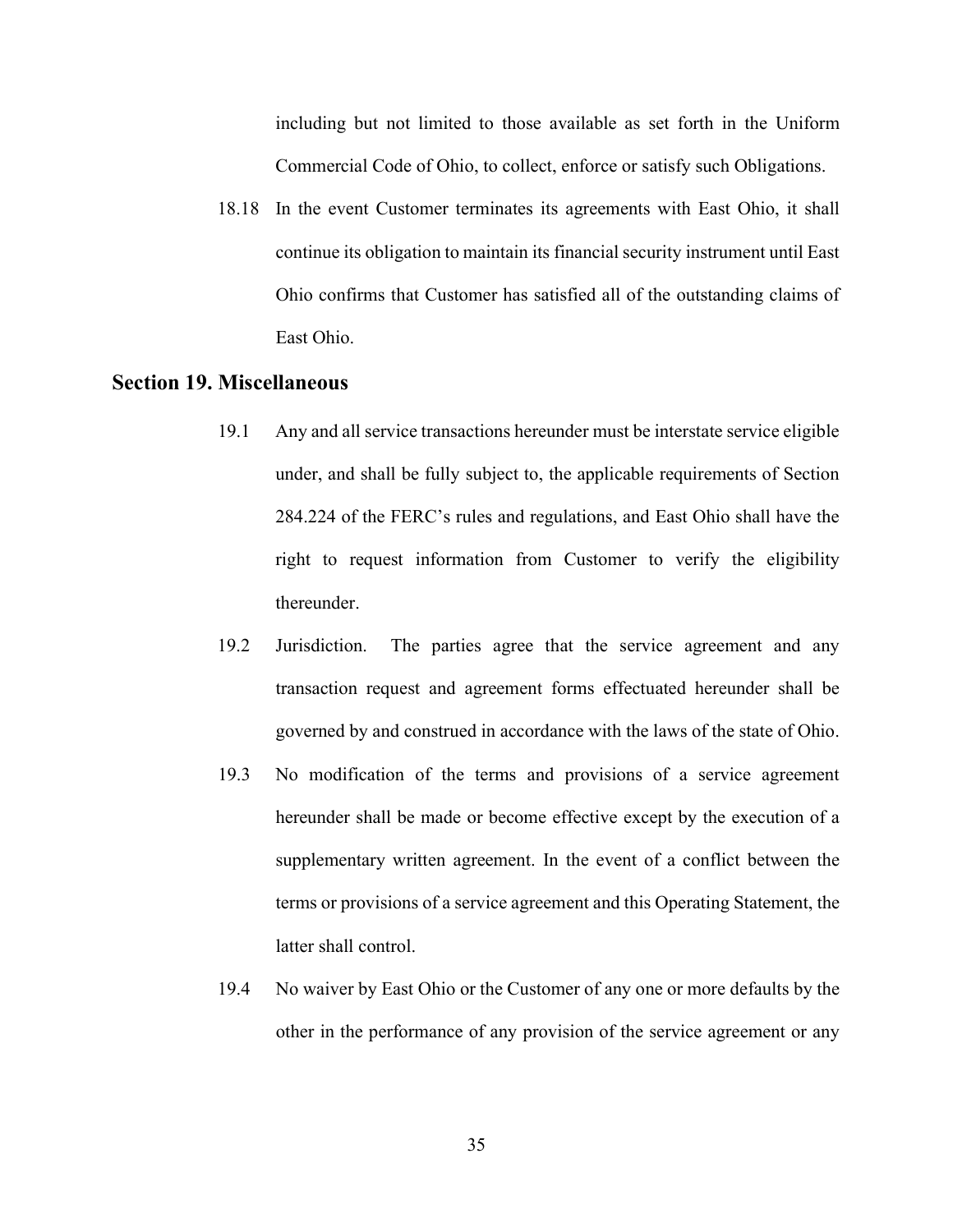including but not limited to those available as set forth in the Uniform Commercial Code of Ohio, to collect, enforce or satisfy such Obligations.

 18.18 In the event Customer terminates its agreements with East Ohio, it shall continue its obligation to maintain its financial security instrument until East Ohio confirms that Customer has satisfied all of the outstanding claims of East Ohio.

### Section 19. Miscellaneous

- 19.1 under, and shall be fully subject to, the applicable requirements of Section 284.224 of the FERC's rules and regulations, and East Ohio shall have the right to request information from Customer to verify the eligibility thereunder. Any and all service transactions hereunder must be interstate service eligible
- Jurisdiction. transaction request and agreement forms effectuated hereunder shall be governed by and construed in accordance with the laws of the state of Ohio. 19.2 Jurisdiction. The parties agree that the service agreement and any
- 19.3 hereunder shall be made or become effective except by the execution of a supplementary written agreement. In the event of a conflict between the terms or provisions of a service agreement and this Operating Statement, the latter shall control. No modification of the terms and provisions of a service agreement
- 19.4 other in the performance of any provision of the service agreement or any No waiver by East Ohio or the Customer of any one or more defaults by the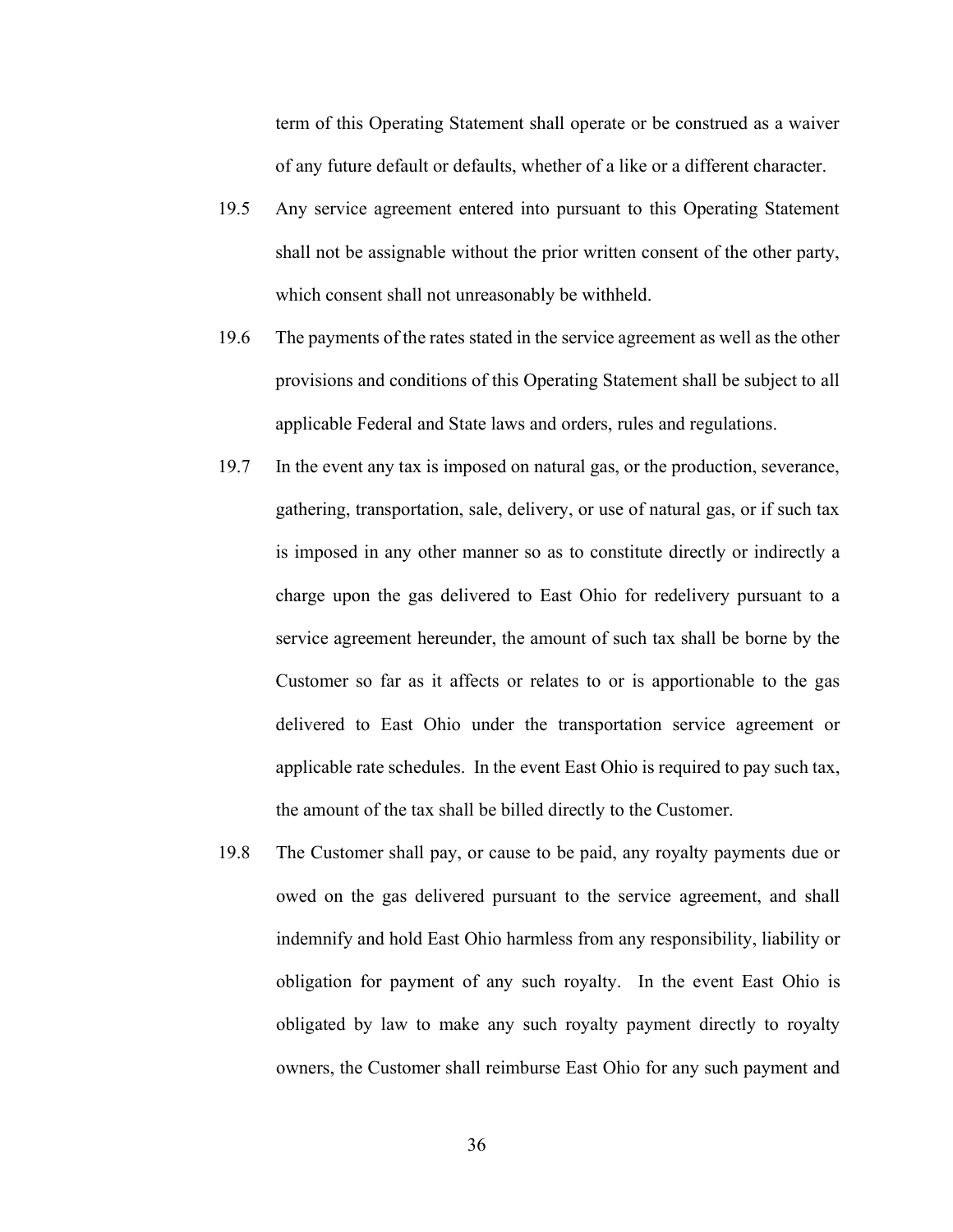term of this Operating Statement shall operate or be construed as a waiver of any future default or defaults, whether of a like or a different character.

- $19.5$  shall not be assignable without the prior written consent of the other party, which consent shall not unreasonably be withheld. Any service agreement entered into pursuant to this Operating Statement
- $19.6$  provisions and conditions of this Operating Statement shall be subject to all applicable Federal and State laws and orders, rules and regulations. The payments of the rates stated in the service agreement as well as the other
- 19.7 gathering, transportation, sale, delivery, or use of natural gas, or if such tax is imposed in any other manner so as to constitute directly or indirectly a charge upon the gas delivered to East Ohio for redelivery pursuant to a service agreement hereunder, the amount of such tax shall be borne by the Customer so far as it affects or relates to or is apportionable to the gas delivered to East Ohio under the transportation service agreement or applicable rate schedules. In the event East Ohio is required to pay such tax, the amount of the tax shall be billed directly to the Customer. In the event any tax is imposed on natural gas, or the production, severance,
- 19.8 owed on the gas delivered pursuant to the service agreement, and shall indemnify and hold East Ohio harmless from any responsibility, liability or obligation for payment of any such royalty. In the event East Ohio is obligated by law to make any such royalty payment directly to royalty owners, the Customer shall reimburse East Ohio for any such payment and The Customer shall pay, or cause to be paid, any royalty payments due or